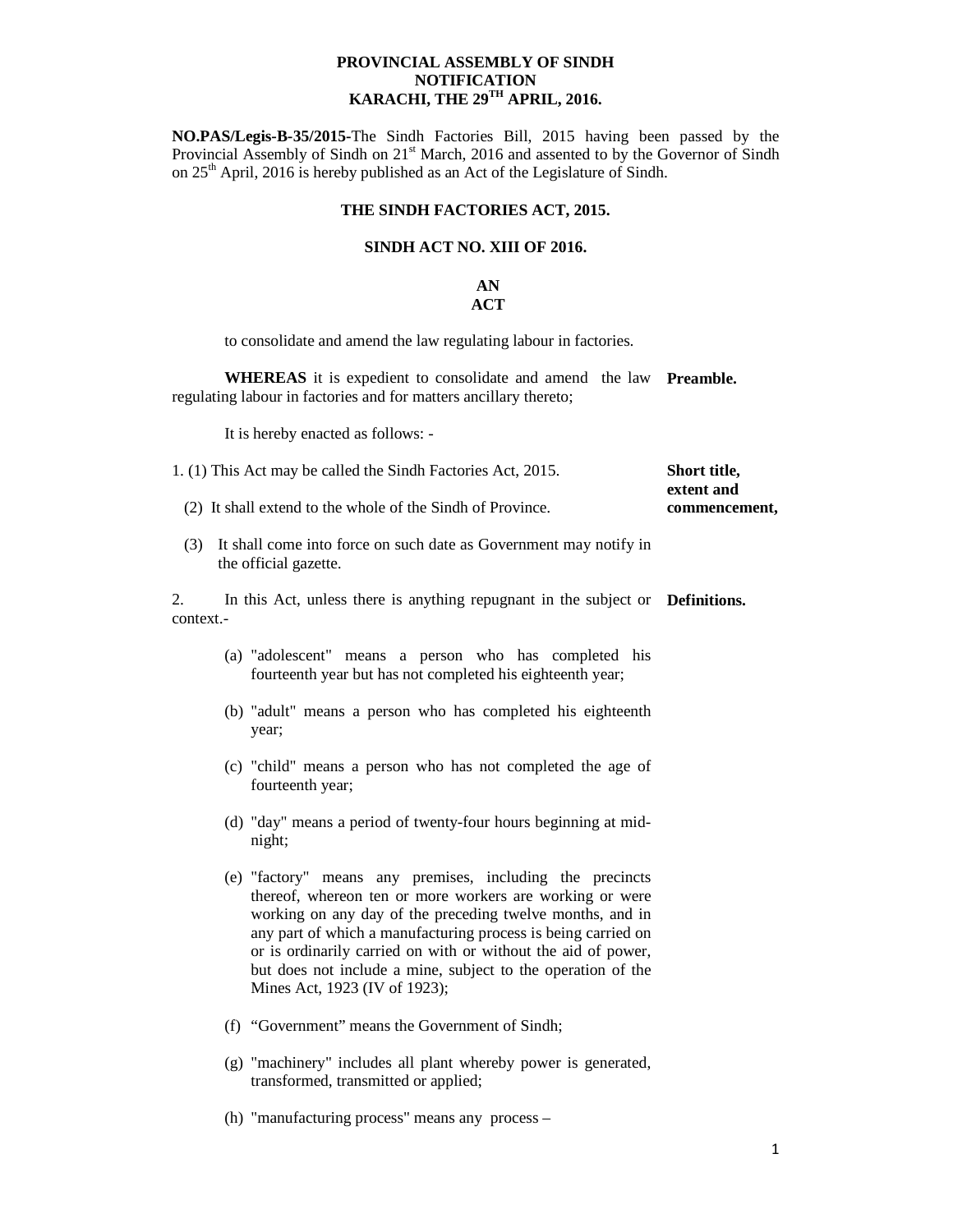### **PROVINCIAL ASSEMBLY OF SINDH NOTIFICATION KARACHI, THE 29TH APRIL, 2016.**

**NO.PAS/Legis-B-35/2015-**The Sindh Factories Bill, 2015 having been passed by the Provincial Assembly of Sindh on 21<sup>st</sup> March, 2016 and assented to by the Governor of Sindh on 25<sup>th</sup> April, 2016 is hereby published as an Act of the Legislature of Sindh.

### **THE SINDH FACTORIES ACT, 2015.**

#### **SINDH ACT NO. XIII OF 2016.**

#### **AN ACT**

to consolidate and amend the law regulating labour in factories.

**WHEREAS** it is expedient to consolidate and amend the law **Preamble.**  regulating labour in factories and for matters ancillary thereto;

It is hereby enacted as follows: -

| 1. (1) This Act may be called the Sindh Factories Act, 2015.                                                                                                                                                                                                                                                                                                                                                          | Short title,<br>extent and |  |  |
|-----------------------------------------------------------------------------------------------------------------------------------------------------------------------------------------------------------------------------------------------------------------------------------------------------------------------------------------------------------------------------------------------------------------------|----------------------------|--|--|
| (2) It shall extend to the whole of the Sindh of Province.                                                                                                                                                                                                                                                                                                                                                            | commencement,              |  |  |
| (3) It shall come into force on such date as Government may notify in<br>the official gazette.                                                                                                                                                                                                                                                                                                                        |                            |  |  |
| In this Act, unless there is anything repugnant in the subject or <b>Definitions.</b><br>2.<br>context.-                                                                                                                                                                                                                                                                                                              |                            |  |  |
| (a) "adolescent" means a person who has completed his<br>fourteenth year but has not completed his eighteenth year;                                                                                                                                                                                                                                                                                                   |                            |  |  |
| (b) "adult" means a person who has completed his eighteenth<br>year;                                                                                                                                                                                                                                                                                                                                                  |                            |  |  |
| (c) "child" means a person who has not completed the age of<br>fourteenth year;                                                                                                                                                                                                                                                                                                                                       |                            |  |  |
| (d) "day" means a period of twenty-four hours beginning at mid-<br>night;                                                                                                                                                                                                                                                                                                                                             |                            |  |  |
| (e) "factory" means any premises, including the precincts<br>thereof, whereon ten or more workers are working or were<br>working on any day of the preceding twelve months, and in<br>any part of which a manufacturing process is being carried on<br>or is ordinarily carried on with or without the aid of power,<br>but does not include a mine, subject to the operation of the<br>Mines Act, 1923 (IV of 1923); |                            |  |  |
| (f) "Government" means the Government of Sindh;                                                                                                                                                                                                                                                                                                                                                                       |                            |  |  |
| (g) "machinery" includes all plant whereby power is generated,<br>transformed, transmitted or applied;                                                                                                                                                                                                                                                                                                                |                            |  |  |

(h) "manufacturing process" means any process –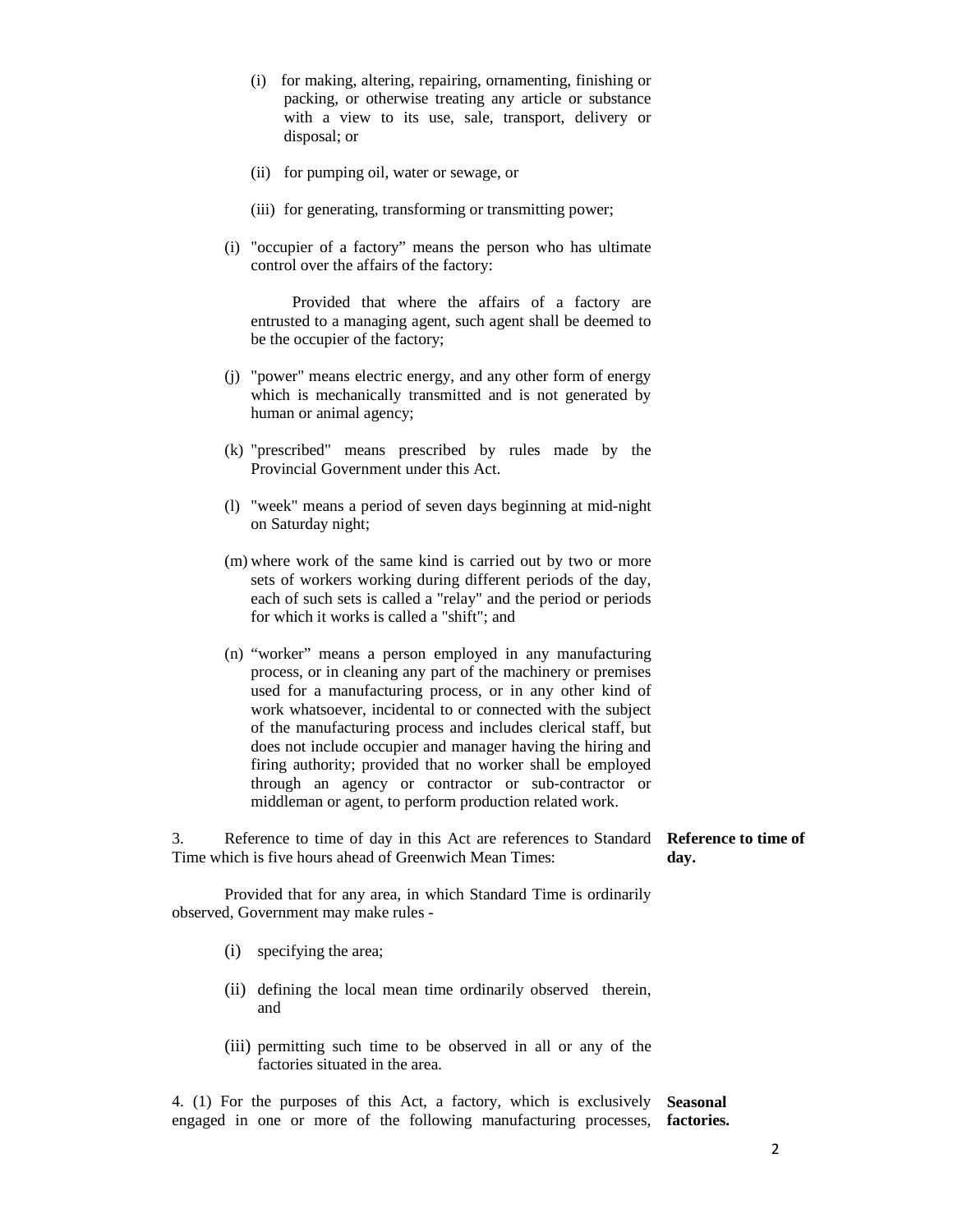- (i) for making, altering, repairing, ornamenting, finishing or packing, or otherwise treating any article or substance with a view to its use, sale, transport, delivery or disposal; or
- (ii) for pumping oil, water or sewage, or
- (iii) for generating, transforming or transmitting power;
- (i) "occupier of a factory" means the person who has ultimate control over the affairs of the factory:

 Provided that where the affairs of a factory are entrusted to a managing agent, such agent shall be deemed to be the occupier of the factory;

- (j) "power" means electric energy, and any other form of energy which is mechanically transmitted and is not generated by human or animal agency;
- (k) "prescribed" means prescribed by rules made by the Provincial Government under this Act.
- (l) "week" means a period of seven days beginning at mid-night on Saturday night;
- (m) where work of the same kind is carried out by two or more sets of workers working during different periods of the day, each of such sets is called a "relay" and the period or periods for which it works is called a "shift"; and
- (n) "worker" means a person employed in any manufacturing process, or in cleaning any part of the machinery or premises used for a manufacturing process, or in any other kind of work whatsoever, incidental to or connected with the subject of the manufacturing process and includes clerical staff, but does not include occupier and manager having the hiring and firing authority; provided that no worker shall be employed through an agency or contractor or sub-contractor or middleman or agent, to perform production related work.

3. Reference to time of day in this Act are references to Standard **Reference to time of**  Time which is five hours ahead of Greenwich Mean Times: **day.** 

 Provided that for any area, in which Standard Time is ordinarily observed, Government may make rules -

- (i) specifying the area;
- (ii) defining the local mean time ordinarily observed therein, and
- (iii) permitting such time to be observed in all or any of the factories situated in the area.

4. (1) For the purposes of this Act, a factory, which is exclusively **Seasonal**  engaged in one or more of the following manufacturing processes, **factories.**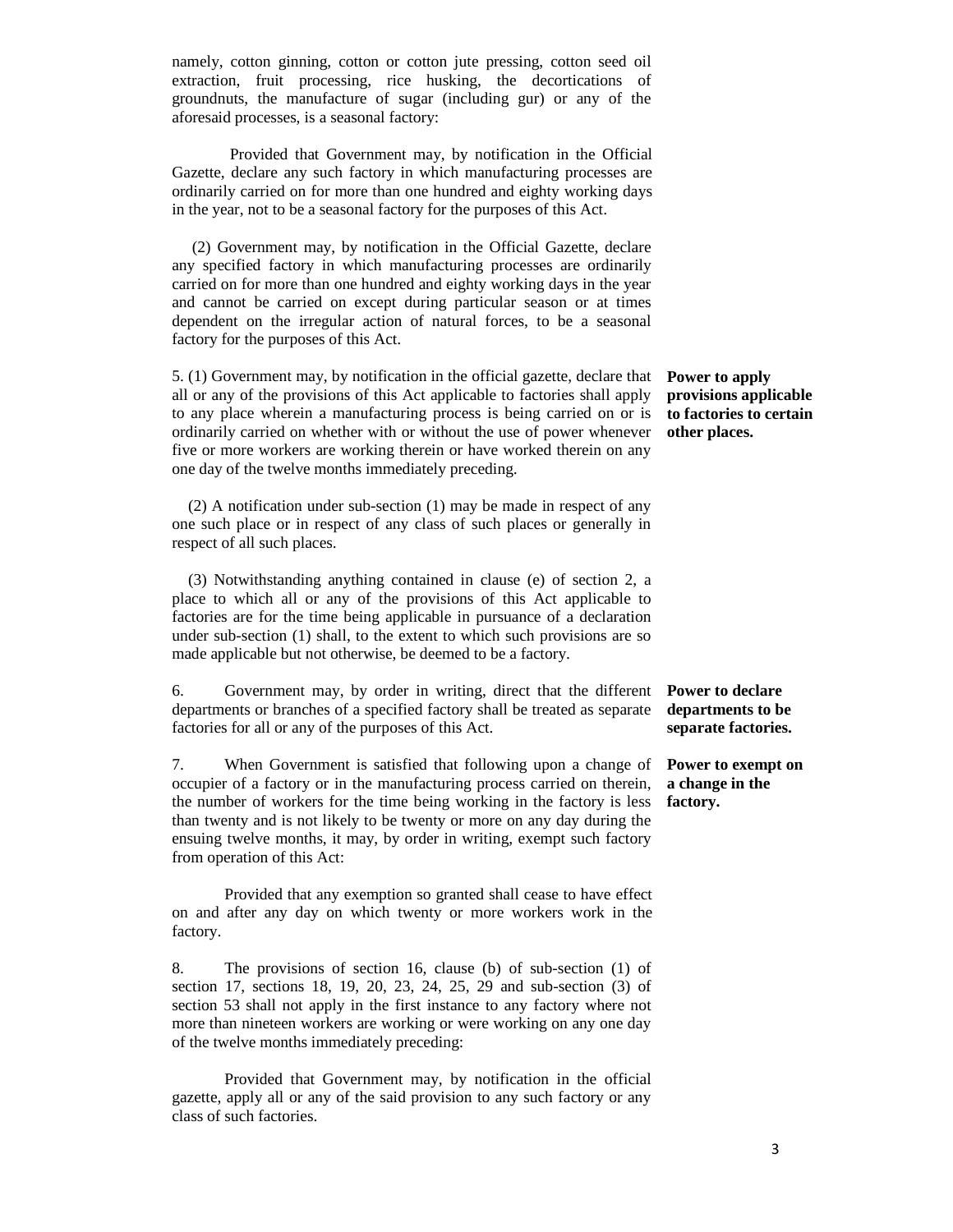namely, cotton ginning, cotton or cotton jute pressing, cotton seed oil extraction, fruit processing, rice husking, the decortications of groundnuts, the manufacture of sugar (including gur) or any of the aforesaid processes, is a seasonal factory:

Provided that Government may, by notification in the Official Gazette, declare any such factory in which manufacturing processes are ordinarily carried on for more than one hundred and eighty working days in the year, not to be a seasonal factory for the purposes of this Act.

 (2) Government may, by notification in the Official Gazette, declare any specified factory in which manufacturing processes are ordinarily carried on for more than one hundred and eighty working days in the year and cannot be carried on except during particular season or at times dependent on the irregular action of natural forces, to be a seasonal factory for the purposes of this Act.

5. (1) Government may, by notification in the official gazette, declare that all or any of the provisions of this Act applicable to factories shall apply to any place wherein a manufacturing process is being carried on or is ordinarily carried on whether with or without the use of power whenever five or more workers are working therein or have worked therein on any one day of the twelve months immediately preceding.

 (2) A notification under sub-section (1) may be made in respect of any one such place or in respect of any class of such places or generally in respect of all such places.

 (3) Notwithstanding anything contained in clause (e) of section 2, a place to which all or any of the provisions of this Act applicable to factories are for the time being applicable in pursuance of a declaration under sub-section (1) shall, to the extent to which such provisions are so made applicable but not otherwise, be deemed to be a factory.

6. Government may, by order in writing, direct that the different **Power to declare**  departments or branches of a specified factory shall be treated as separate factories for all or any of the purposes of this Act.

7. When Government is satisfied that following upon a change of occupier of a factory or in the manufacturing process carried on therein, the number of workers for the time being working in the factory is less **factory.**  than twenty and is not likely to be twenty or more on any day during the ensuing twelve months, it may, by order in writing, exempt such factory from operation of this Act:

 Provided that any exemption so granted shall cease to have effect on and after any day on which twenty or more workers work in the factory.

8. The provisions of section 16, clause (b) of sub-section (1) of section 17, sections 18, 19, 20, 23, 24, 25, 29 and sub-section (3) of section 53 shall not apply in the first instance to any factory where not more than nineteen workers are working or were working on any one day of the twelve months immediately preceding:

 Provided that Government may, by notification in the official gazette, apply all or any of the said provision to any such factory or any class of such factories.

**Power to apply provisions applicable to factories to certain other places.** 

**departments to be separate factories.** 

**Power to exempt on a change in the**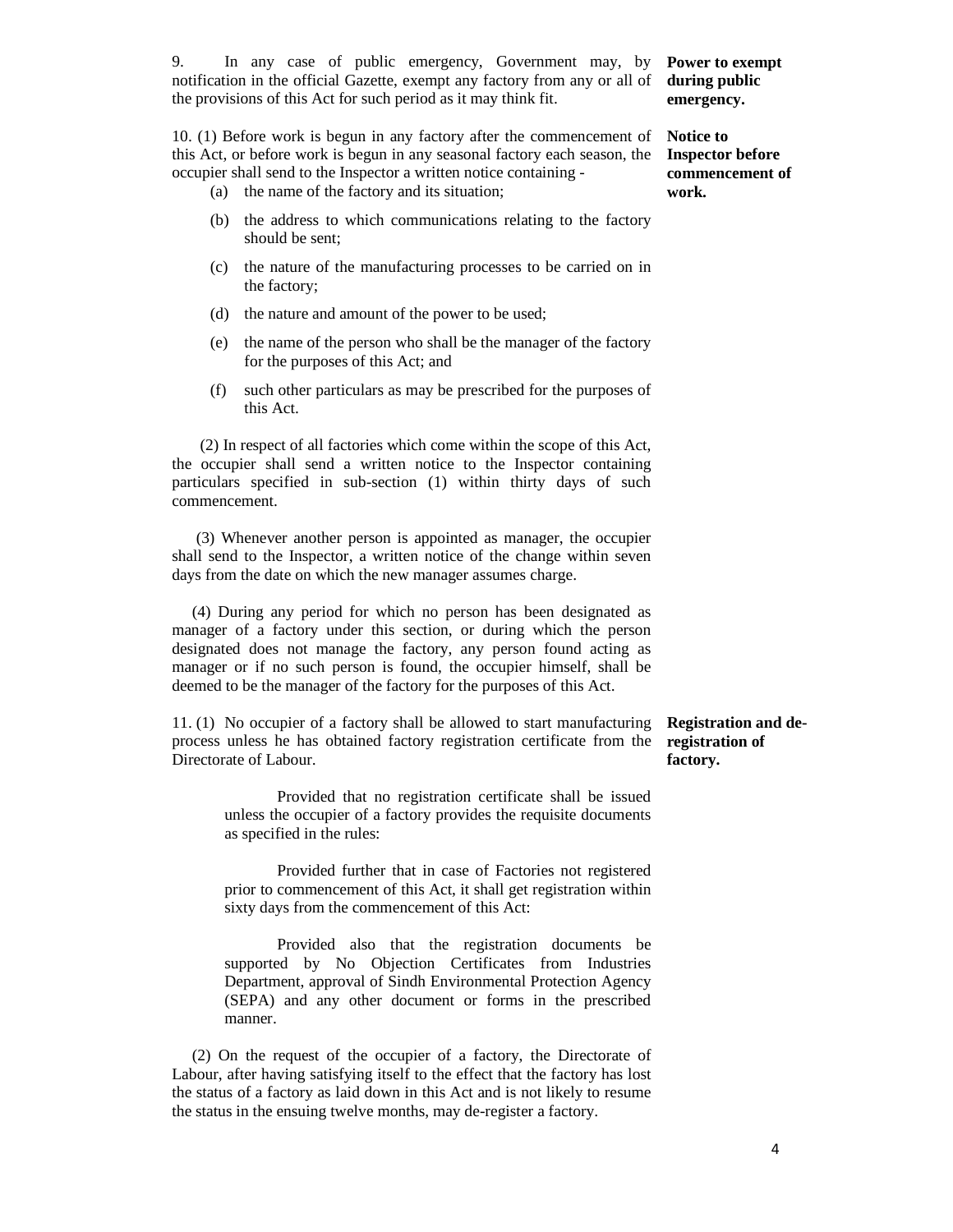9. In any case of public emergency, Government may, by notification in the official Gazette, exempt any factory from any or all of the provisions of this Act for such period as it may think fit.

10. (1) Before work is begun in any factory after the commencement of this Act, or before work is begun in any seasonal factory each season, the occupier shall send to the Inspector a written notice containing -

- (a) the name of the factory and its situation;
- (b) the address to which communications relating to the factory should be sent;
- (c) the nature of the manufacturing processes to be carried on in the factory;
- (d) the nature and amount of the power to be used;
- (e) the name of the person who shall be the manager of the factory for the purposes of this Act; and
- (f) such other particulars as may be prescribed for the purposes of this Act.

 (2) In respect of all factories which come within the scope of this Act, the occupier shall send a written notice to the Inspector containing particulars specified in sub-section (1) within thirty days of such commencement.

 (3) Whenever another person is appointed as manager, the occupier shall send to the Inspector, a written notice of the change within seven days from the date on which the new manager assumes charge.

 (4) During any period for which no person has been designated as manager of a factory under this section, or during which the person designated does not manage the factory, any person found acting as manager or if no such person is found, the occupier himself, shall be deemed to be the manager of the factory for the purposes of this Act.

11. (1) No occupier of a factory shall be allowed to start manufacturing process unless he has obtained factory registration certificate from the Directorate of Labour. **Registration and deregistration of factory.** 

 Provided that no registration certificate shall be issued unless the occupier of a factory provides the requisite documents as specified in the rules:

 Provided further that in case of Factories not registered prior to commencement of this Act, it shall get registration within sixty days from the commencement of this Act:

 Provided also that the registration documents be supported by No Objection Certificates from Industries Department, approval of Sindh Environmental Protection Agency (SEPA) and any other document or forms in the prescribed manner.

 (2) On the request of the occupier of a factory, the Directorate of Labour, after having satisfying itself to the effect that the factory has lost the status of a factory as laid down in this Act and is not likely to resume the status in the ensuing twelve months, may de-register a factory.

#### **Power to exempt during public emergency.**

**Notice to Inspector before commencement of work.**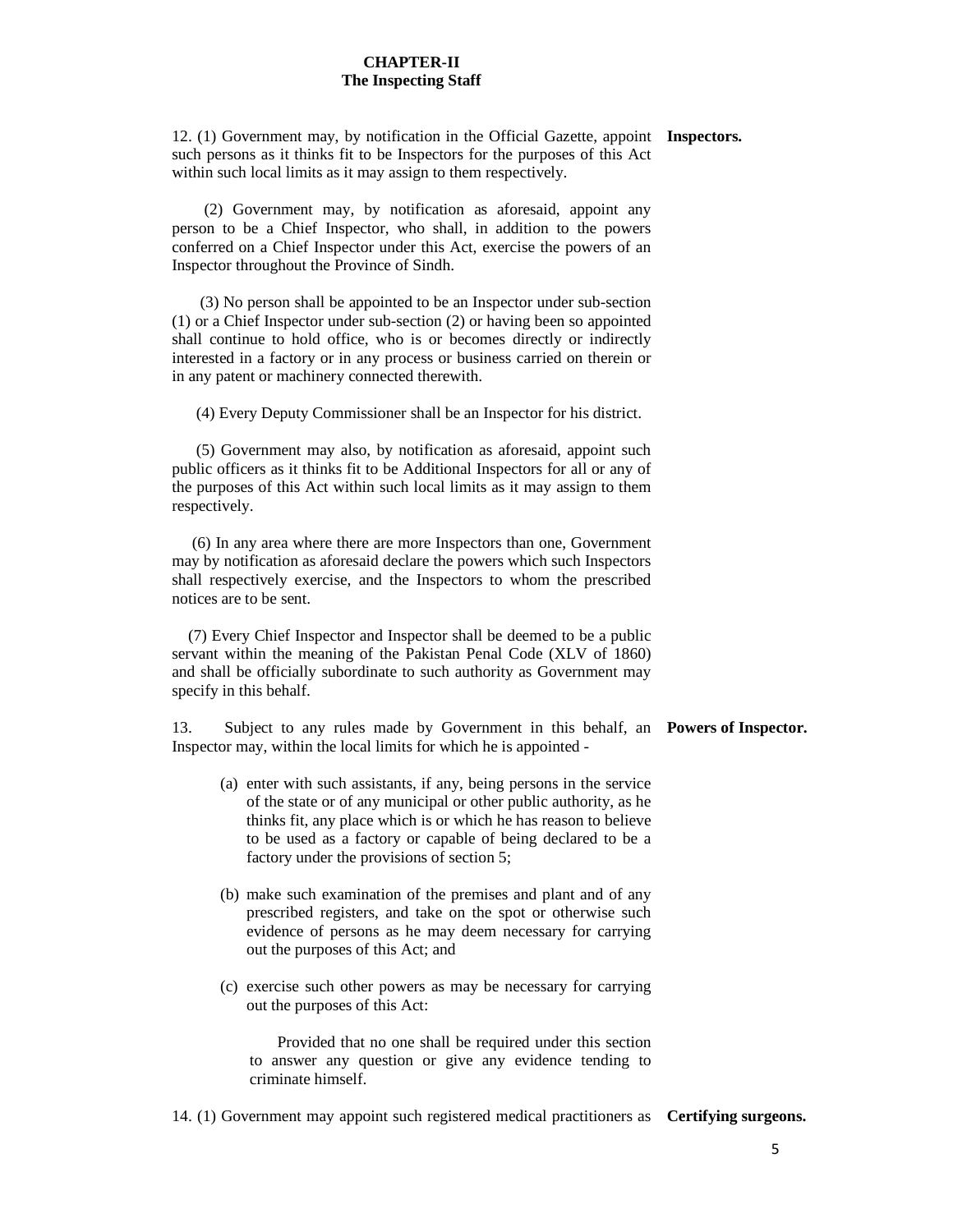#### **CHAPTER-II The Inspecting Staff**

12. (1) Government may, by notification in the Official Gazette, appoint **Inspectors.**  such persons as it thinks fit to be Inspectors for the purposes of this Act within such local limits as it may assign to them respectively.

 (2) Government may, by notification as aforesaid, appoint any person to be a Chief Inspector, who shall, in addition to the powers conferred on a Chief Inspector under this Act, exercise the powers of an Inspector throughout the Province of Sindh.

 (3) No person shall be appointed to be an Inspector under sub-section (1) or a Chief Inspector under sub-section (2) or having been so appointed shall continue to hold office, who is or becomes directly or indirectly interested in a factory or in any process or business carried on therein or in any patent or machinery connected therewith.

(4) Every Deputy Commissioner shall be an Inspector for his district.

 (5) Government may also, by notification as aforesaid, appoint such public officers as it thinks fit to be Additional Inspectors for all or any of the purposes of this Act within such local limits as it may assign to them respectively.

 (6) In any area where there are more Inspectors than one, Government may by notification as aforesaid declare the powers which such Inspectors shall respectively exercise, and the Inspectors to whom the prescribed notices are to be sent.

 (7) Every Chief Inspector and Inspector shall be deemed to be a public servant within the meaning of the Pakistan Penal Code (XLV of 1860) and shall be officially subordinate to such authority as Government may specify in this behalf.

13. Subject to any rules made by Government in this behalf, an **Powers of Inspector.**  Inspector may, within the local limits for which he is appointed -

- (a) enter with such assistants, if any, being persons in the service of the state or of any municipal or other public authority, as he thinks fit, any place which is or which he has reason to believe to be used as a factory or capable of being declared to be a factory under the provisions of section 5;
- (b) make such examination of the premises and plant and of any prescribed registers, and take on the spot or otherwise such evidence of persons as he may deem necessary for carrying out the purposes of this Act; and
- (c) exercise such other powers as may be necessary for carrying out the purposes of this Act:

 Provided that no one shall be required under this section to answer any question or give any evidence tending to criminate himself.

14. (1) Government may appoint such registered medical practitioners as **Certifying surgeons.**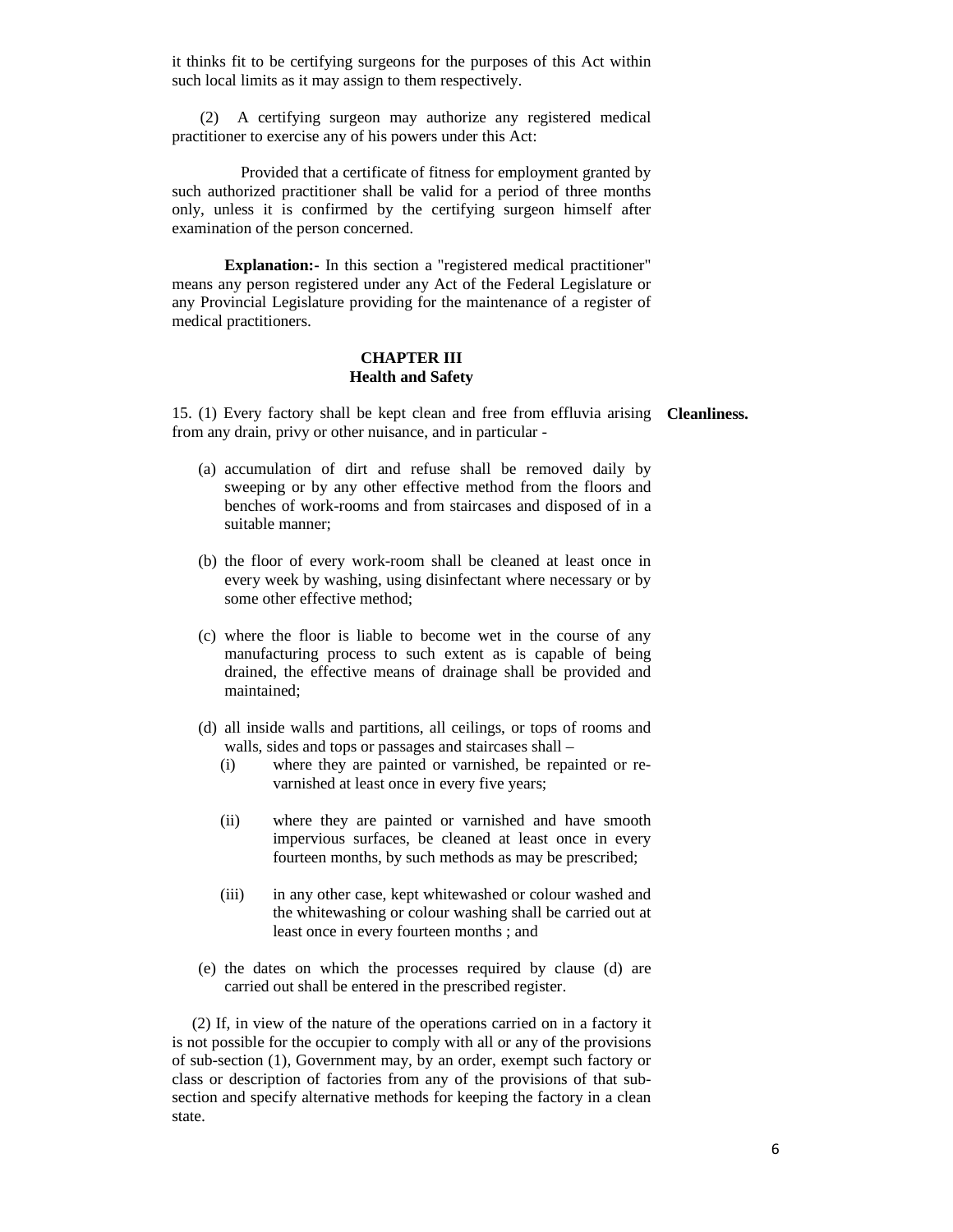it thinks fit to be certifying surgeons for the purposes of this Act within such local limits as it may assign to them respectively.

 (2) A certifying surgeon may authorize any registered medical practitioner to exercise any of his powers under this Act:

 Provided that a certificate of fitness for employment granted by such authorized practitioner shall be valid for a period of three months only, unless it is confirmed by the certifying surgeon himself after examination of the person concerned.

**Explanation:-** In this section a "registered medical practitioner" means any person registered under any Act of the Federal Legislature or any Provincial Legislature providing for the maintenance of a register of medical practitioners.

#### **CHAPTER III Health and Safety**

15. (1) Every factory shall be kept clean and free from effluvia arising **Cleanliness.** from any drain, privy or other nuisance, and in particular -

- (a) accumulation of dirt and refuse shall be removed daily by sweeping or by any other effective method from the floors and benches of work-rooms and from staircases and disposed of in a suitable manner;
- (b) the floor of every work-room shall be cleaned at least once in every week by washing, using disinfectant where necessary or by some other effective method;
- (c) where the floor is liable to become wet in the course of any manufacturing process to such extent as is capable of being drained, the effective means of drainage shall be provided and maintained;
- (d) all inside walls and partitions, all ceilings, or tops of rooms and walls, sides and tops or passages and staircases shall –
	- (i) where they are painted or varnished, be repainted or revarnished at least once in every five years;
	- (ii) where they are painted or varnished and have smooth impervious surfaces, be cleaned at least once in every fourteen months, by such methods as may be prescribed;
	- (iii) in any other case, kept whitewashed or colour washed and the whitewashing or colour washing shall be carried out at least once in every fourteen months ; and
- (e) the dates on which the processes required by clause (d) are carried out shall be entered in the prescribed register.

 (2) If, in view of the nature of the operations carried on in a factory it is not possible for the occupier to comply with all or any of the provisions of sub-section (1), Government may, by an order, exempt such factory or class or description of factories from any of the provisions of that subsection and specify alternative methods for keeping the factory in a clean state.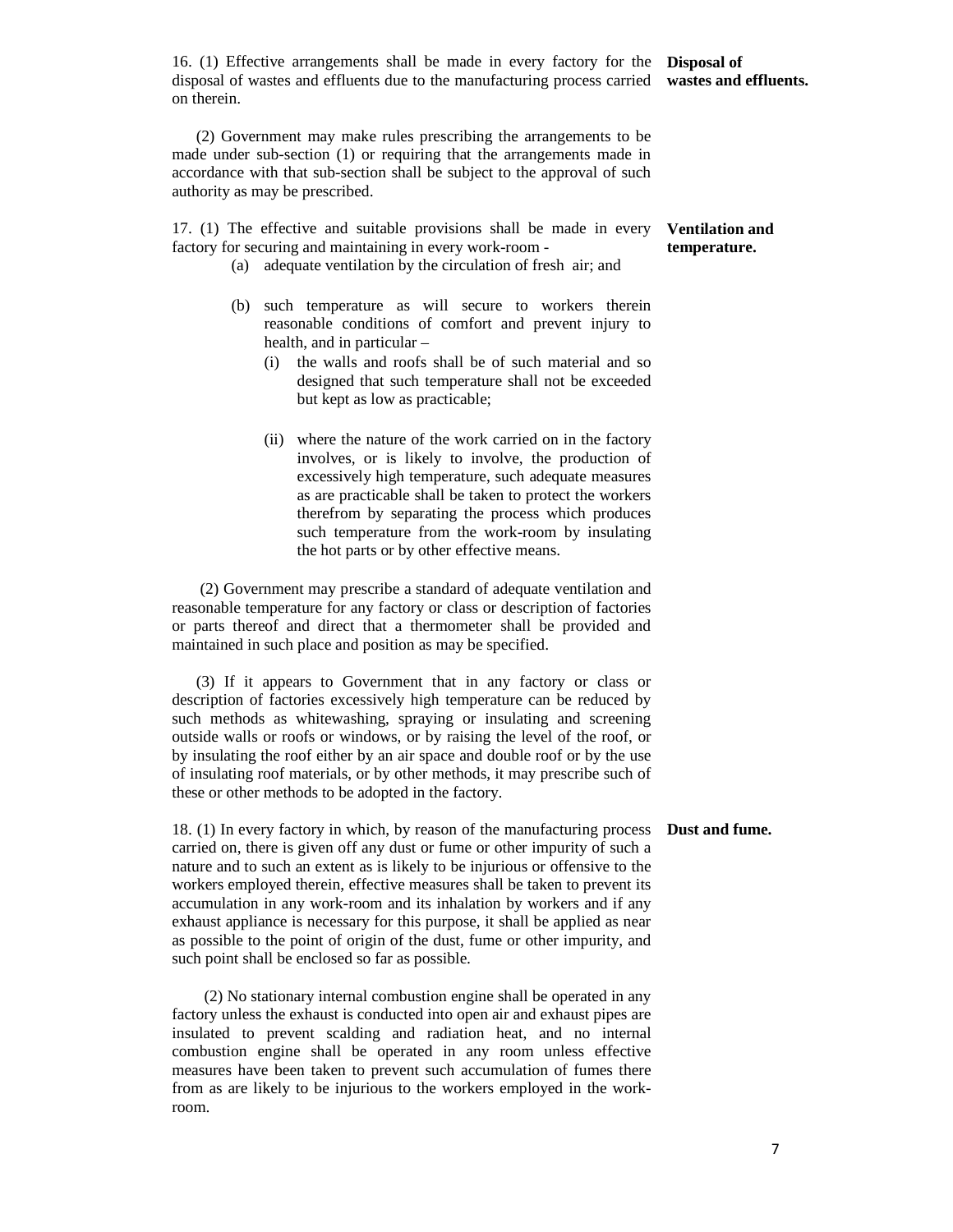16. (1) Effective arrangements shall be made in every factory for the **Disposal of**  disposal of wastes and effluents due to the manufacturing process carried **wastes and effluents.**  on therein.

 (2) Government may make rules prescribing the arrangements to be made under sub-section (1) or requiring that the arrangements made in accordance with that sub-section shall be subject to the approval of such authority as may be prescribed.

17. (1) The effective and suitable provisions shall be made in every factory for securing and maintaining in every work-room -

- (a) adequate ventilation by the circulation of fresh air; and
- (b) such temperature as will secure to workers therein reasonable conditions of comfort and prevent injury to health, and in particular –
	- (i) the walls and roofs shall be of such material and so designed that such temperature shall not be exceeded but kept as low as practicable;
	- (ii) where the nature of the work carried on in the factory involves, or is likely to involve, the production of excessively high temperature, such adequate measures as are practicable shall be taken to protect the workers therefrom by separating the process which produces such temperature from the work-room by insulating the hot parts or by other effective means.

 (2) Government may prescribe a standard of adequate ventilation and reasonable temperature for any factory or class or description of factories or parts thereof and direct that a thermometer shall be provided and maintained in such place and position as may be specified.

 (3) If it appears to Government that in any factory or class or description of factories excessively high temperature can be reduced by such methods as whitewashing, spraying or insulating and screening outside walls or roofs or windows, or by raising the level of the roof, or by insulating the roof either by an air space and double roof or by the use of insulating roof materials, or by other methods, it may prescribe such of these or other methods to be adopted in the factory.

18. (1) In every factory in which, by reason of the manufacturing process **Dust and fume.**carried on, there is given off any dust or fume or other impurity of such a nature and to such an extent as is likely to be injurious or offensive to the workers employed therein, effective measures shall be taken to prevent its accumulation in any work-room and its inhalation by workers and if any exhaust appliance is necessary for this purpose, it shall be applied as near as possible to the point of origin of the dust, fume or other impurity, and such point shall be enclosed so far as possible.

 (2) No stationary internal combustion engine shall be operated in any factory unless the exhaust is conducted into open air and exhaust pipes are insulated to prevent scalding and radiation heat, and no internal combustion engine shall be operated in any room unless effective measures have been taken to prevent such accumulation of fumes there from as are likely to be injurious to the workers employed in the workroom.

#### **Ventilation and temperature.**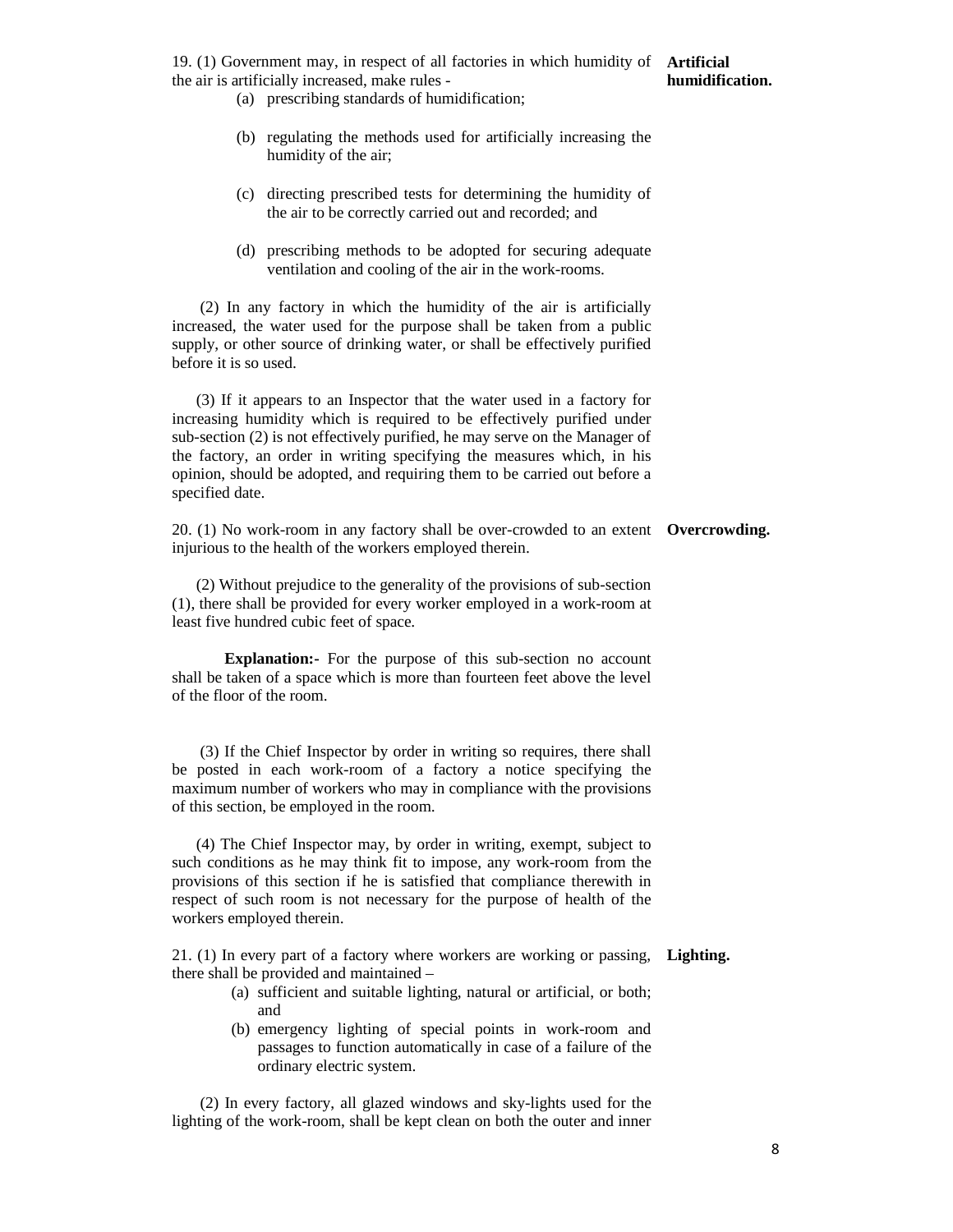19. (1) Government may, in respect of all factories in which humidity of **Artificial**  the air is artificially increased, make rules -

- (a) prescribing standards of humidification;
- (b) regulating the methods used for artificially increasing the humidity of the air;
- (c) directing prescribed tests for determining the humidity of the air to be correctly carried out and recorded; and
- (d) prescribing methods to be adopted for securing adequate ventilation and cooling of the air in the work-rooms.

 (2) In any factory in which the humidity of the air is artificially increased, the water used for the purpose shall be taken from a public supply, or other source of drinking water, or shall be effectively purified before it is so used.

 (3) If it appears to an Inspector that the water used in a factory for increasing humidity which is required to be effectively purified under sub-section (2) is not effectively purified, he may serve on the Manager of the factory, an order in writing specifying the measures which, in his opinion, should be adopted, and requiring them to be carried out before a specified date.

20. (1) No work-room in any factory shall be over-crowded to an extent **Overcrowding.** injurious to the health of the workers employed therein.

 (2) Without prejudice to the generality of the provisions of sub-section (1), there shall be provided for every worker employed in a work-room at least five hundred cubic feet of space.

**Explanation:-** For the purpose of this sub-section no account shall be taken of a space which is more than fourteen feet above the level of the floor of the room.

 (3) If the Chief Inspector by order in writing so requires, there shall be posted in each work-room of a factory a notice specifying the maximum number of workers who may in compliance with the provisions of this section, be employed in the room.

 (4) The Chief Inspector may, by order in writing, exempt, subject to such conditions as he may think fit to impose, any work-room from the provisions of this section if he is satisfied that compliance therewith in respect of such room is not necessary for the purpose of health of the workers employed therein.

21. (1) In every part of a factory where workers are working or passing, **Lighting.**there shall be provided and maintained –

- (a) sufficient and suitable lighting, natural or artificial, or both; and
- (b) emergency lighting of special points in work-room and passages to function automatically in case of a failure of the ordinary electric system.

 (2) In every factory, all glazed windows and sky-lights used for the lighting of the work-room, shall be kept clean on both the outer and inner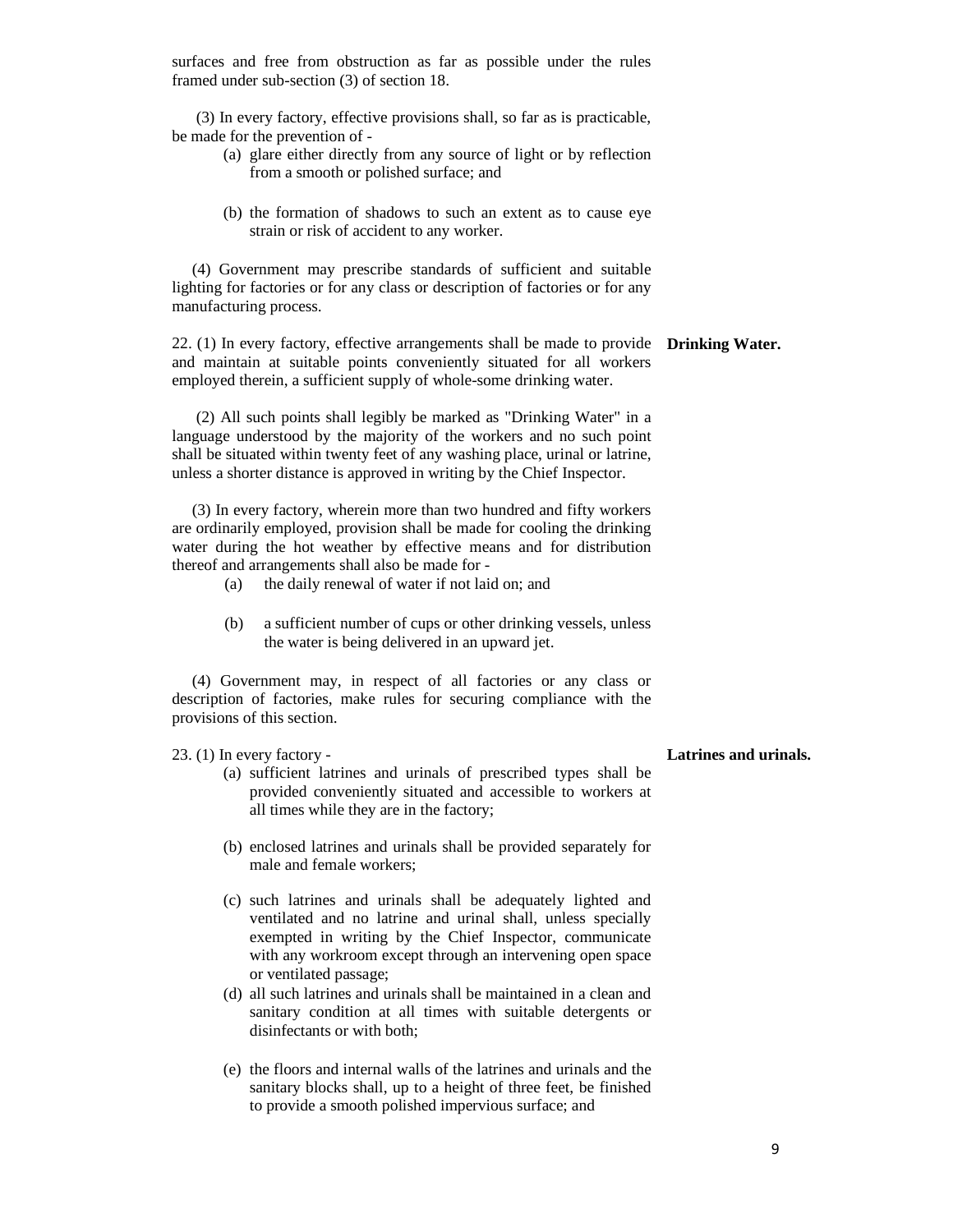surfaces and free from obstruction as far as possible under the rules framed under sub-section (3) of section 18.

 (3) In every factory, effective provisions shall, so far as is practicable, be made for the prevention of -

- (a) glare either directly from any source of light or by reflection from a smooth or polished surface; and
- (b) the formation of shadows to such an extent as to cause eye strain or risk of accident to any worker.

 (4) Government may prescribe standards of sufficient and suitable lighting for factories or for any class or description of factories or for any manufacturing process.

22. (1) In every factory, effective arrangements shall be made to provide **Drinking Water.**  and maintain at suitable points conveniently situated for all workers employed therein, a sufficient supply of whole-some drinking water.

 (2) All such points shall legibly be marked as "Drinking Water" in a language understood by the majority of the workers and no such point shall be situated within twenty feet of any washing place, urinal or latrine, unless a shorter distance is approved in writing by the Chief Inspector.

 (3) In every factory, wherein more than two hundred and fifty workers are ordinarily employed, provision shall be made for cooling the drinking water during the hot weather by effective means and for distribution thereof and arrangements shall also be made for -

- (a) the daily renewal of water if not laid on; and
- (b) a sufficient number of cups or other drinking vessels, unless the water is being delivered in an upward jet.

 (4) Government may, in respect of all factories or any class or description of factories, make rules for securing compliance with the provisions of this section.

23. (1) In every factory -

- (a) sufficient latrines and urinals of prescribed types shall be provided conveniently situated and accessible to workers at all times while they are in the factory;
- (b) enclosed latrines and urinals shall be provided separately for male and female workers;
- (c) such latrines and urinals shall be adequately lighted and ventilated and no latrine and urinal shall, unless specially exempted in writing by the Chief Inspector, communicate with any workroom except through an intervening open space or ventilated passage;
- (d) all such latrines and urinals shall be maintained in a clean and sanitary condition at all times with suitable detergents or disinfectants or with both;
- (e) the floors and internal walls of the latrines and urinals and the sanitary blocks shall, up to a height of three feet, be finished to provide a smooth polished impervious surface; and

#### **Latrines and urinals.**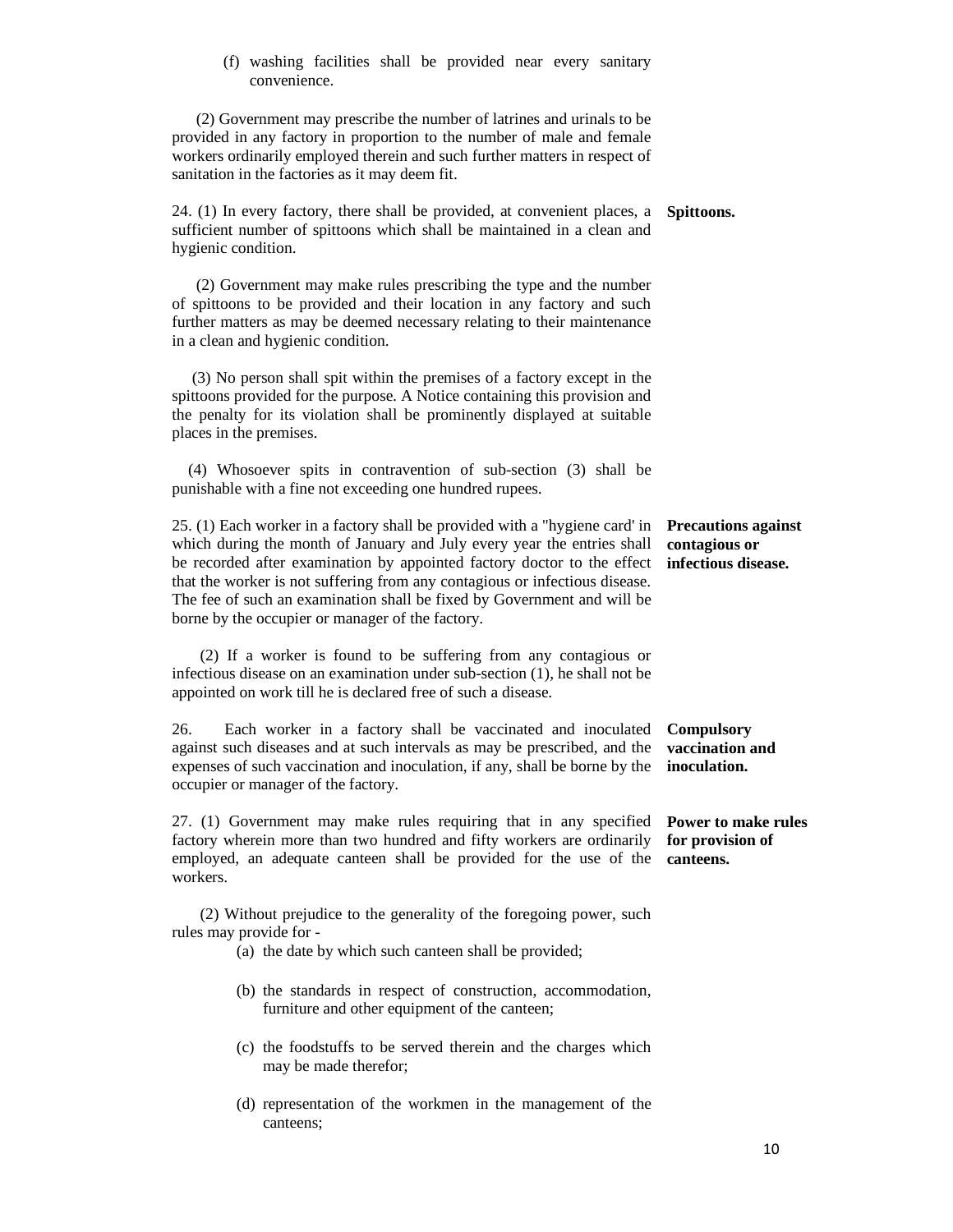(f) washing facilities shall be provided near every sanitary convenience.

 (2) Government may prescribe the number of latrines and urinals to be provided in any factory in proportion to the number of male and female workers ordinarily employed therein and such further matters in respect of sanitation in the factories as it may deem fit.

24. (1) In every factory, there shall be provided, at convenient places, a **Spittoons.**  sufficient number of spittoons which shall be maintained in a clean and hygienic condition.

 (2) Government may make rules prescribing the type and the number of spittoons to be provided and their location in any factory and such further matters as may be deemed necessary relating to their maintenance in a clean and hygienic condition.

 (3) No person shall spit within the premises of a factory except in the spittoons provided for the purpose. A Notice containing this provision and the penalty for its violation shall be prominently displayed at suitable places in the premises.

 (4) Whosoever spits in contravention of sub-section (3) shall be punishable with a fine not exceeding one hundred rupees.

25. (1) Each worker in a factory shall be provided with a "hygiene card' in which during the month of January and July every year the entries shall be recorded after examination by appointed factory doctor to the effect **infectious disease.**  that the worker is not suffering from any contagious or infectious disease. The fee of such an examination shall be fixed by Government and will be borne by the occupier or manager of the factory.

 (2) If a worker is found to be suffering from any contagious or infectious disease on an examination under sub-section (1), he shall not be appointed on work till he is declared free of such a disease.

26. Each worker in a factory shall be vaccinated and inoculated against such diseases and at such intervals as may be prescribed, and the expenses of such vaccination and inoculation, if any, shall be borne by the **inoculation.**  occupier or manager of the factory. **Compulsory** 

27. (1) Government may make rules requiring that in any specified **Power to make rules**  factory wherein more than two hundred and fifty workers are ordinarily for provision of employed, an adequate canteen shall be provided for the use of the **canteens.** workers.

 (2) Without prejudice to the generality of the foregoing power, such rules may provide for -

- (a) the date by which such canteen shall be provided;
- (b) the standards in respect of construction, accommodation, furniture and other equipment of the canteen;
- (c) the foodstuffs to be served therein and the charges which may be made therefor;
- (d) representation of the workmen in the management of the canteens;

**Precautions against contagious or** 

**vaccination and**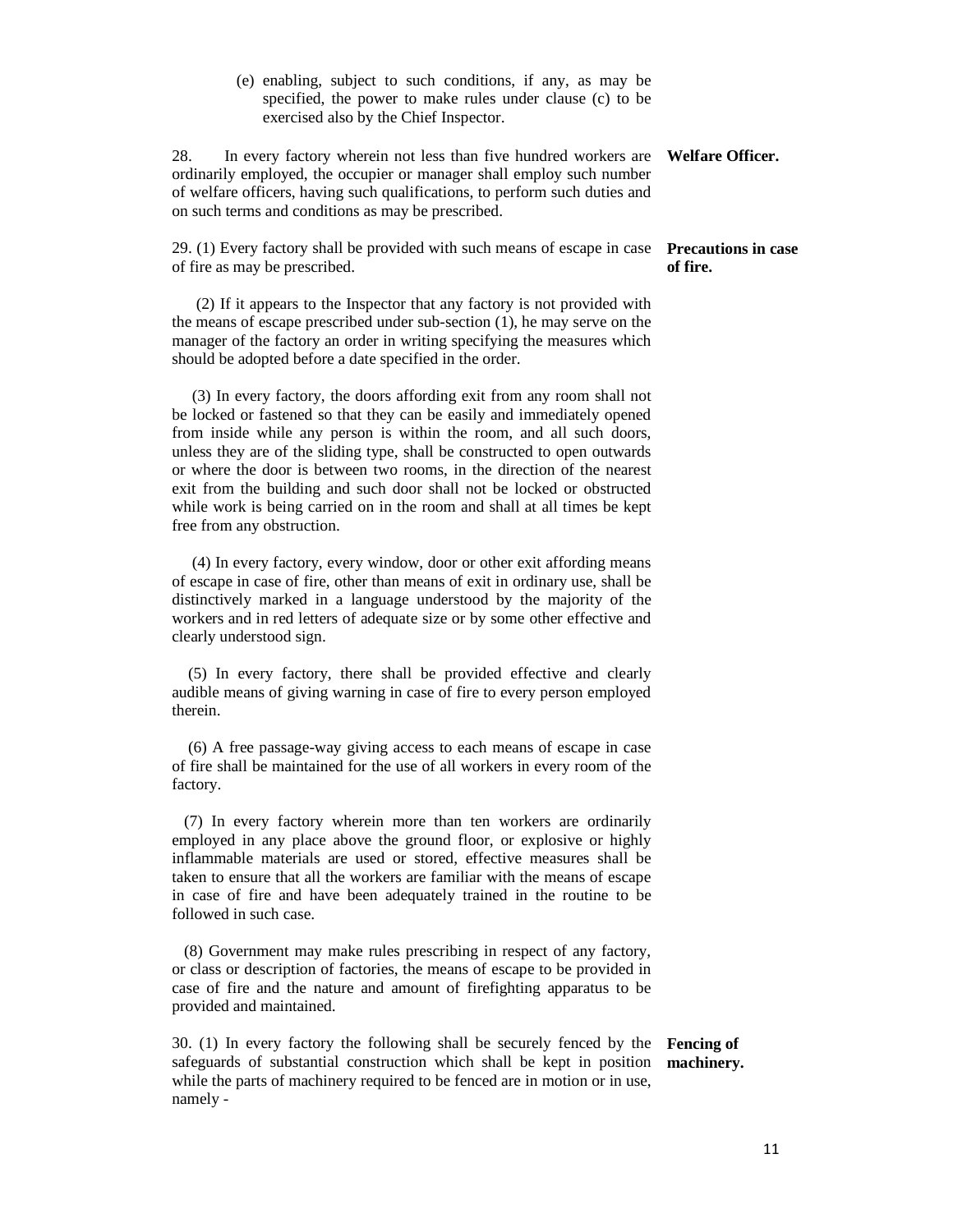(e) enabling, subject to such conditions, if any, as may be specified, the power to make rules under clause (c) to be exercised also by the Chief Inspector.

28. In every factory wherein not less than five hundred workers are **Welfare Officer.**  ordinarily employed, the occupier or manager shall employ such number of welfare officers, having such qualifications, to perform such duties and on such terms and conditions as may be prescribed.

29. (1) Every factory shall be provided with such means of escape in case **Precautions in case**  of fire as may be prescribed.

 (2) If it appears to the Inspector that any factory is not provided with the means of escape prescribed under sub-section (1), he may serve on the manager of the factory an order in writing specifying the measures which should be adopted before a date specified in the order.

 (3) In every factory, the doors affording exit from any room shall not be locked or fastened so that they can be easily and immediately opened from inside while any person is within the room, and all such doors, unless they are of the sliding type, shall be constructed to open outwards or where the door is between two rooms, in the direction of the nearest exit from the building and such door shall not be locked or obstructed while work is being carried on in the room and shall at all times be kept free from any obstruction.

 (4) In every factory, every window, door or other exit affording means of escape in case of fire, other than means of exit in ordinary use, shall be distinctively marked in a language understood by the majority of the workers and in red letters of adequate size or by some other effective and clearly understood sign.

 (5) In every factory, there shall be provided effective and clearly audible means of giving warning in case of fire to every person employed therein.

 (6) A free passage-way giving access to each means of escape in case of fire shall be maintained for the use of all workers in every room of the factory.

 (7) In every factory wherein more than ten workers are ordinarily employed in any place above the ground floor, or explosive or highly inflammable materials are used or stored, effective measures shall be taken to ensure that all the workers are familiar with the means of escape in case of fire and have been adequately trained in the routine to be followed in such case.

 (8) Government may make rules prescribing in respect of any factory, or class or description of factories, the means of escape to be provided in case of fire and the nature and amount of firefighting apparatus to be provided and maintained.

30. (1) In every factory the following shall be securely fenced by the **Fencing of**  safeguards of substantial construction which shall be kept in position **machinery.** while the parts of machinery required to be fenced are in motion or in use, namely -

## **of fire.**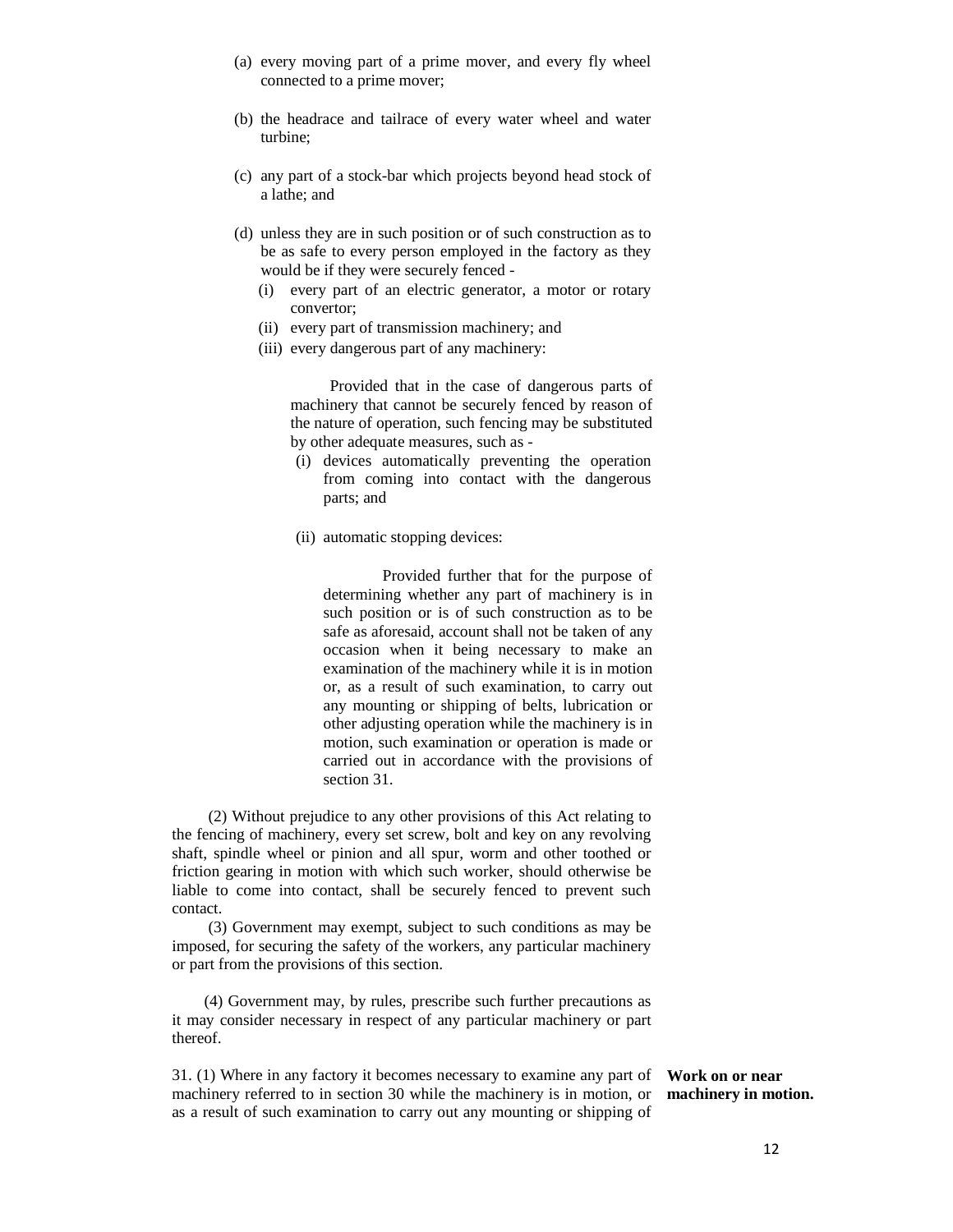- (a) every moving part of a prime mover, and every fly wheel connected to a prime mover;
- (b) the headrace and tailrace of every water wheel and water turbine;
- (c) any part of a stock-bar which projects beyond head stock of a lathe; and
- (d) unless they are in such position or of such construction as to be as safe to every person employed in the factory as they would be if they were securely fenced -
	- (i) every part of an electric generator, a motor or rotary convertor;
	- (ii) every part of transmission machinery; and
	- (iii) every dangerous part of any machinery:

 Provided that in the case of dangerous parts of machinery that cannot be securely fenced by reason of the nature of operation, such fencing may be substituted by other adequate measures, such as -

- (i) devices automatically preventing the operation from coming into contact with the dangerous parts; and
- (ii) automatic stopping devices:

 Provided further that for the purpose of determining whether any part of machinery is in such position or is of such construction as to be safe as aforesaid, account shall not be taken of any occasion when it being necessary to make an examination of the machinery while it is in motion or, as a result of such examination, to carry out any mounting or shipping of belts, lubrication or other adjusting operation while the machinery is in motion, such examination or operation is made or carried out in accordance with the provisions of section 31.

 (2) Without prejudice to any other provisions of this Act relating to the fencing of machinery, every set screw, bolt and key on any revolving shaft, spindle wheel or pinion and all spur, worm and other toothed or friction gearing in motion with which such worker, should otherwise be liable to come into contact, shall be securely fenced to prevent such contact.

 (3) Government may exempt, subject to such conditions as may be imposed, for securing the safety of the workers, any particular machinery or part from the provisions of this section.

 (4) Government may, by rules, prescribe such further precautions as it may consider necessary in respect of any particular machinery or part thereof.

31. (1) Where in any factory it becomes necessary to examine any part of machinery referred to in section 30 while the machinery is in motion, or as a result of such examination to carry out any mounting or shipping of

**Work on or near machinery in motion.**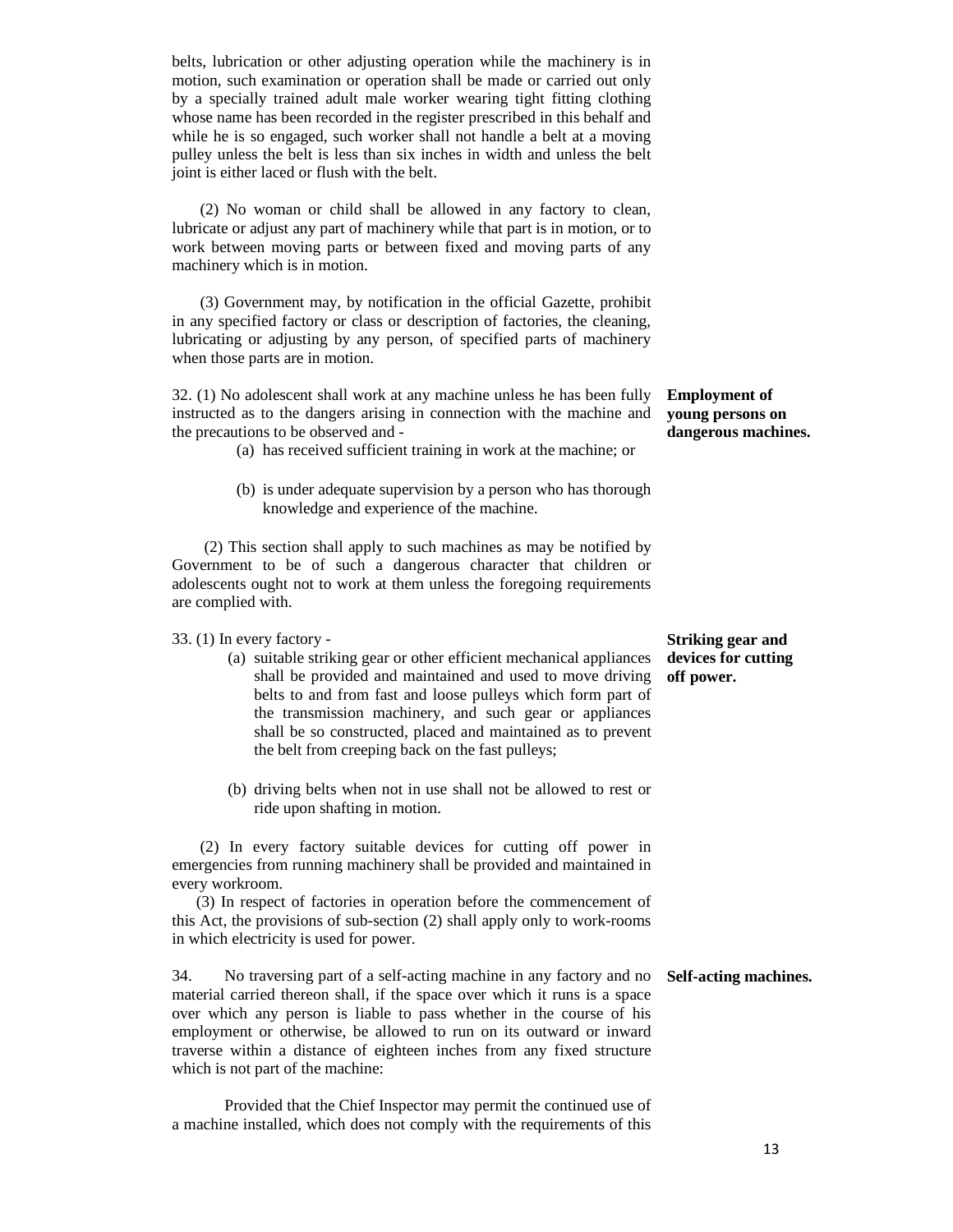belts, lubrication or other adjusting operation while the machinery is in motion, such examination or operation shall be made or carried out only by a specially trained adult male worker wearing tight fitting clothing whose name has been recorded in the register prescribed in this behalf and while he is so engaged, such worker shall not handle a belt at a moving pulley unless the belt is less than six inches in width and unless the belt joint is either laced or flush with the belt.

 (2) No woman or child shall be allowed in any factory to clean, lubricate or adjust any part of machinery while that part is in motion, or to work between moving parts or between fixed and moving parts of any machinery which is in motion.

 (3) Government may, by notification in the official Gazette, prohibit in any specified factory or class or description of factories, the cleaning, lubricating or adjusting by any person, of specified parts of machinery when those parts are in motion.

32. (1) No adolescent shall work at any machine unless he has been fully instructed as to the dangers arising in connection with the machine and the precautions to be observed and -

(a) has received sufficient training in work at the machine; or

(b) is under adequate supervision by a person who has thorough knowledge and experience of the machine.

 (2) This section shall apply to such machines as may be notified by Government to be of such a dangerous character that children or adolescents ought not to work at them unless the foregoing requirements are complied with.

33. (1) In every factory -

- (a) suitable striking gear or other efficient mechanical appliances shall be provided and maintained and used to move driving belts to and from fast and loose pulleys which form part of the transmission machinery, and such gear or appliances shall be so constructed, placed and maintained as to prevent the belt from creeping back on the fast pulleys;
- (b) driving belts when not in use shall not be allowed to rest or ride upon shafting in motion.

 (2) In every factory suitable devices for cutting off power in emergencies from running machinery shall be provided and maintained in every workroom.

 (3) In respect of factories in operation before the commencement of this Act, the provisions of sub-section (2) shall apply only to work-rooms in which electricity is used for power.

34. No traversing part of a self-acting machine in any factory and no **Self-acting machines.** material carried thereon shall, if the space over which it runs is a space over which any person is liable to pass whether in the course of his employment or otherwise, be allowed to run on its outward or inward traverse within a distance of eighteen inches from any fixed structure which is not part of the machine:

 Provided that the Chief Inspector may permit the continued use of a machine installed, which does not comply with the requirements of this

**Employment of young persons on dangerous machines.** 

**Striking gear and devices for cutting off power.**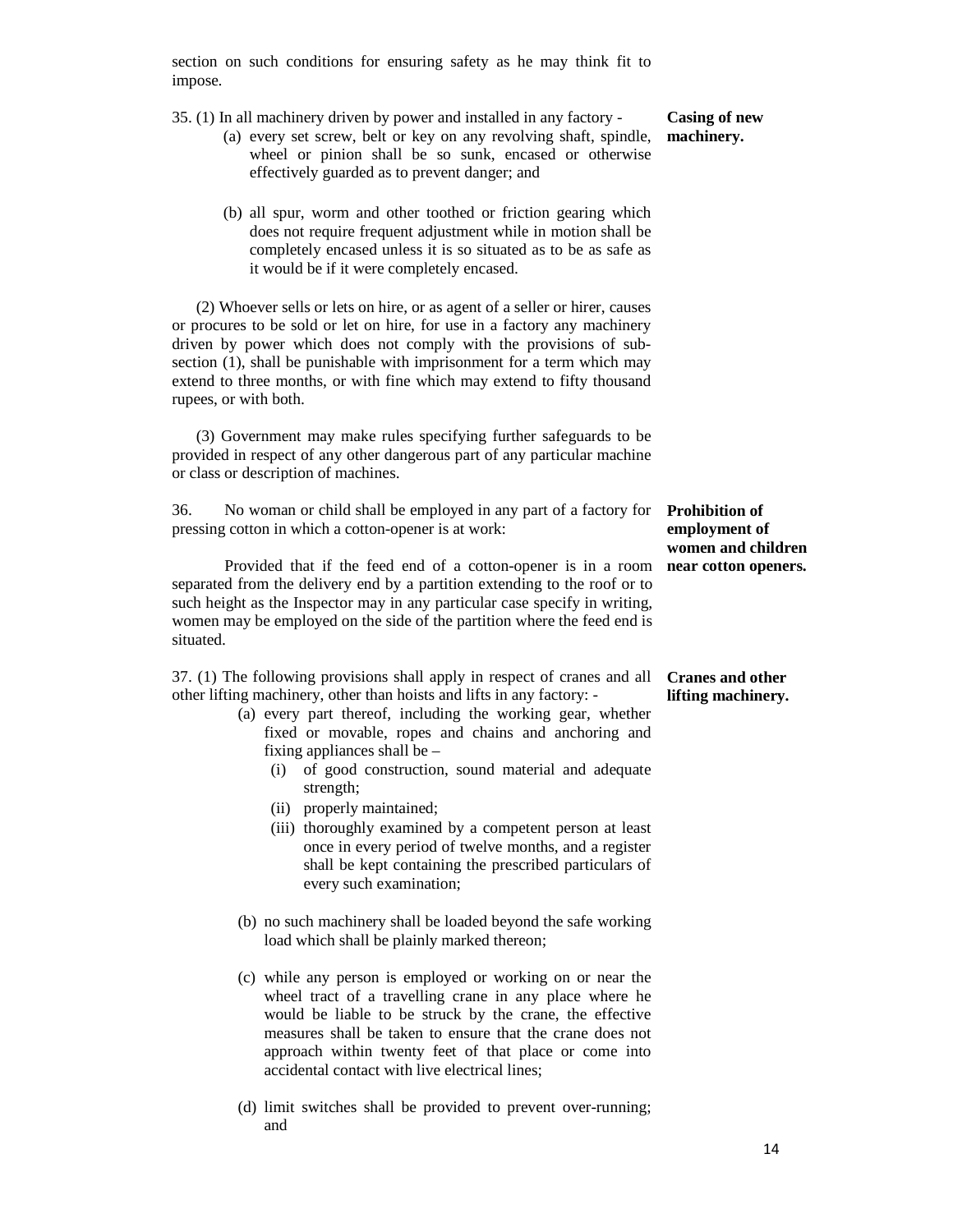section on such conditions for ensuring safety as he may think fit to impose.

35. (1) In all machinery driven by power and installed in any factory -

- (a) every set screw, belt or key on any revolving shaft, spindle, wheel or pinion shall be so sunk, encased or otherwise effectively guarded as to prevent danger; and
- (b) all spur, worm and other toothed or friction gearing which does not require frequent adjustment while in motion shall be completely encased unless it is so situated as to be as safe as it would be if it were completely encased.

 (2) Whoever sells or lets on hire, or as agent of a seller or hirer, causes or procures to be sold or let on hire, for use in a factory any machinery driven by power which does not comply with the provisions of subsection (1), shall be punishable with imprisonment for a term which may extend to three months, or with fine which may extend to fifty thousand rupees, or with both.

 (3) Government may make rules specifying further safeguards to be provided in respect of any other dangerous part of any particular machine or class or description of machines.

36. No woman or child shall be employed in any part of a factory for **Prohibition of**  pressing cotton in which a cotton-opener is at work:

 Provided that if the feed end of a cotton-opener is in a room separated from the delivery end by a partition extending to the roof or to such height as the Inspector may in any particular case specify in writing, women may be employed on the side of the partition where the feed end is situated.

37. (1) The following provisions shall apply in respect of cranes and all **Cranes and other**  other lifting machinery, other than hoists and lifts in any factory: -

- (a) every part thereof, including the working gear, whether fixed or movable, ropes and chains and anchoring and fixing appliances shall be –
	- (i) of good construction, sound material and adequate strength;
	- (ii) properly maintained;
	- (iii) thoroughly examined by a competent person at least once in every period of twelve months, and a register shall be kept containing the prescribed particulars of every such examination;
- (b) no such machinery shall be loaded beyond the safe working load which shall be plainly marked thereon;
- (c) while any person is employed or working on or near the wheel tract of a travelling crane in any place where he would be liable to be struck by the crane, the effective measures shall be taken to ensure that the crane does not approach within twenty feet of that place or come into accidental contact with live electrical lines;
- (d) limit switches shall be provided to prevent over-running; and

## **Casing of new machinery.**

**employment of women and children near cotton openers.** 

**lifting machinery.**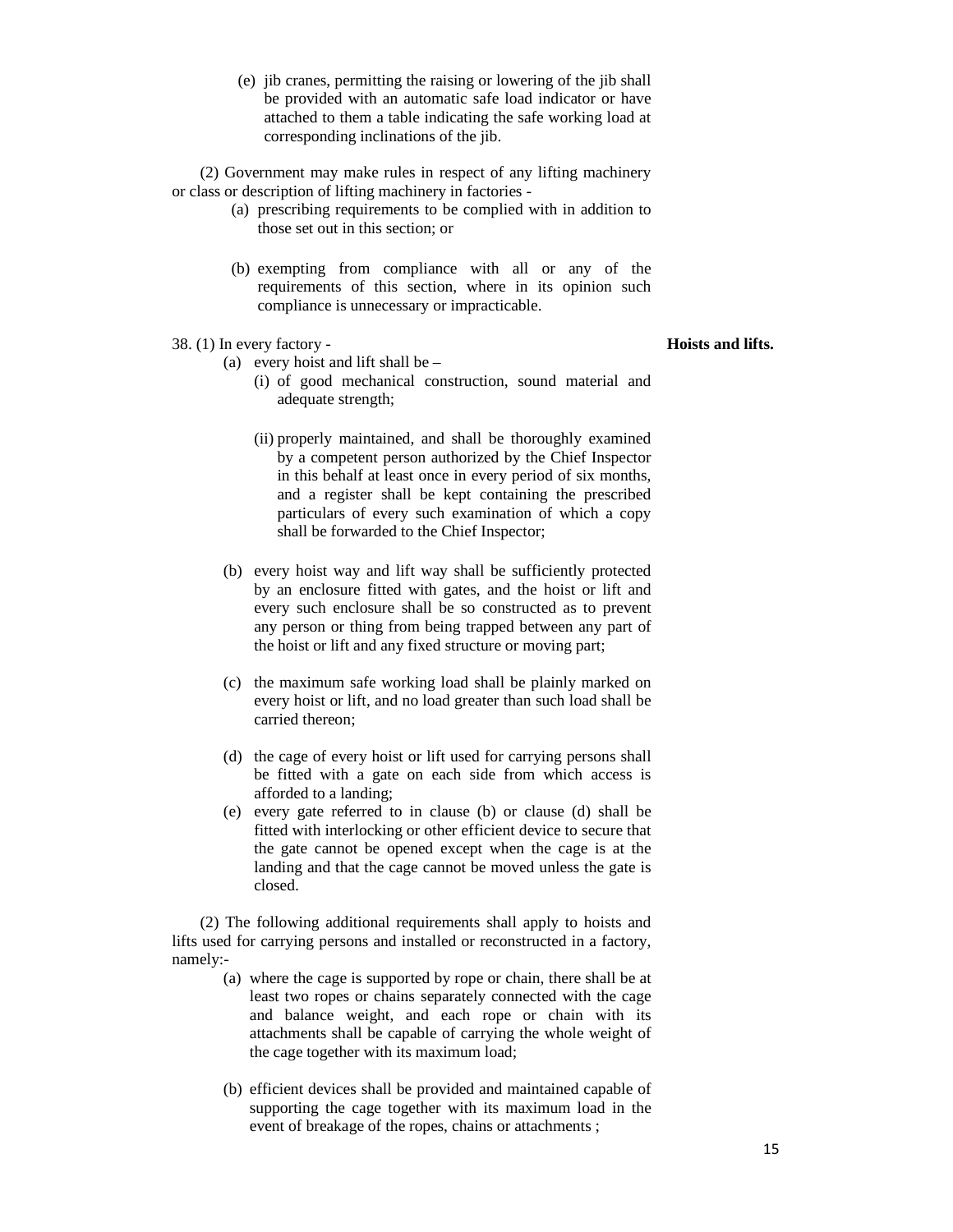(e) jib cranes, permitting the raising or lowering of the jib shall be provided with an automatic safe load indicator or have attached to them a table indicating the safe working load at corresponding inclinations of the jib.

 (2) Government may make rules in respect of any lifting machinery or class or description of lifting machinery in factories -

- (a) prescribing requirements to be complied with in addition to those set out in this section; or
- (b) exempting from compliance with all or any of the requirements of this section, where in its opinion such compliance is unnecessary or impracticable.
- 38. (1) In every factory
	- (a) every hoist and lift shall be
		- (i) of good mechanical construction, sound material and adequate strength;
		- (ii) properly maintained, and shall be thoroughly examined by a competent person authorized by the Chief Inspector in this behalf at least once in every period of six months, and a register shall be kept containing the prescribed particulars of every such examination of which a copy shall be forwarded to the Chief Inspector;
	- (b) every hoist way and lift way shall be sufficiently protected by an enclosure fitted with gates, and the hoist or lift and every such enclosure shall be so constructed as to prevent any person or thing from being trapped between any part of the hoist or lift and any fixed structure or moving part;
	- (c) the maximum safe working load shall be plainly marked on every hoist or lift, and no load greater than such load shall be carried thereon;
	- (d) the cage of every hoist or lift used for carrying persons shall be fitted with a gate on each side from which access is afforded to a landing;
	- (e) every gate referred to in clause (b) or clause (d) shall be fitted with interlocking or other efficient device to secure that the gate cannot be opened except when the cage is at the landing and that the cage cannot be moved unless the gate is closed.

 (2) The following additional requirements shall apply to hoists and lifts used for carrying persons and installed or reconstructed in a factory, namely:-

- (a) where the cage is supported by rope or chain, there shall be at least two ropes or chains separately connected with the cage and balance weight, and each rope or chain with its attachments shall be capable of carrying the whole weight of the cage together with its maximum load;
- (b) efficient devices shall be provided and maintained capable of supporting the cage together with its maximum load in the event of breakage of the ropes, chains or attachments ;

#### **Hoists and lifts.**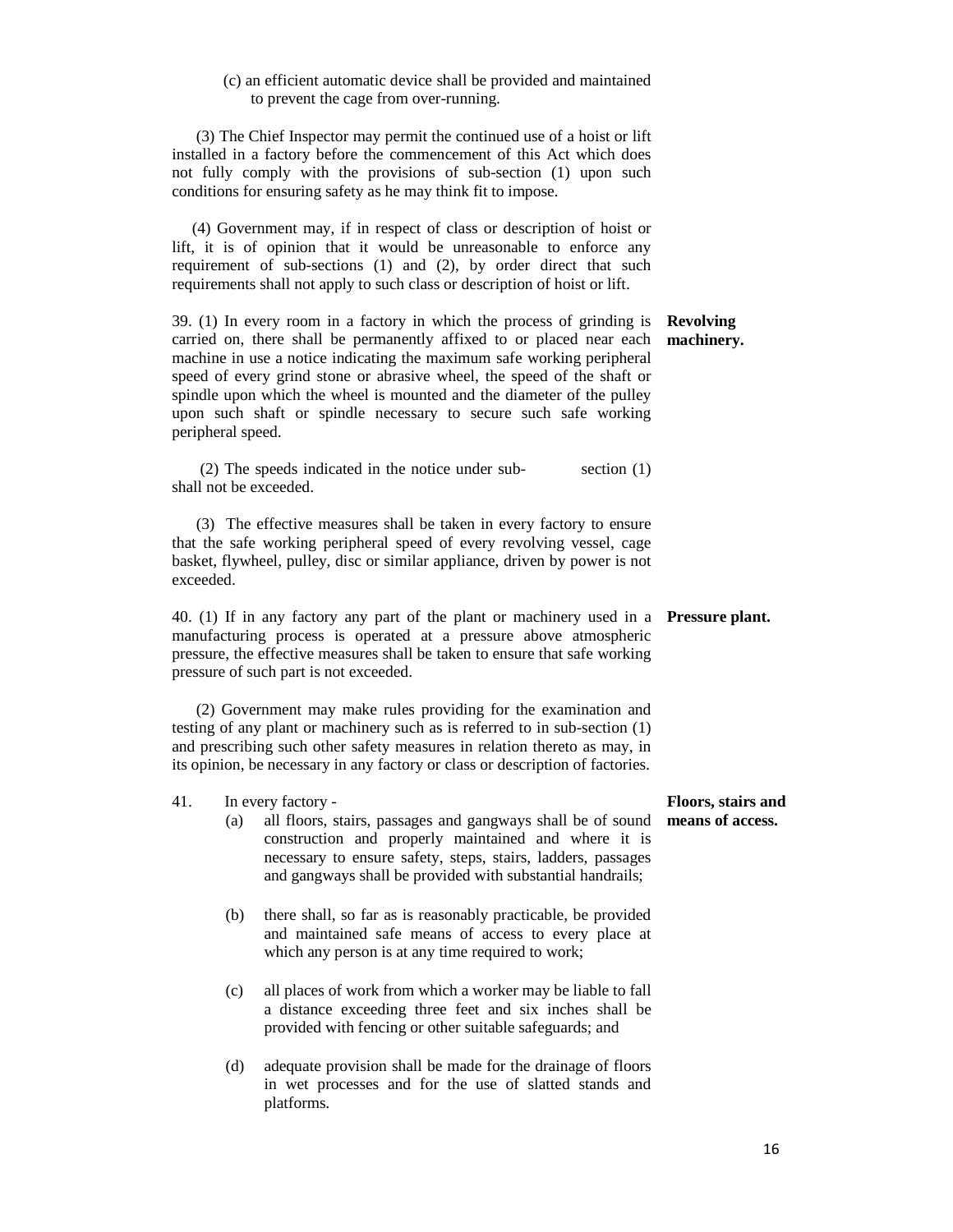#### (c) an efficient automatic device shall be provided and maintained to prevent the cage from over-running.

 (3) The Chief Inspector may permit the continued use of a hoist or lift installed in a factory before the commencement of this Act which does not fully comply with the provisions of sub-section (1) upon such conditions for ensuring safety as he may think fit to impose.

 (4) Government may, if in respect of class or description of hoist or lift, it is of opinion that it would be unreasonable to enforce any requirement of sub-sections (1) and (2), by order direct that such requirements shall not apply to such class or description of hoist or lift.

39. (1) In every room in a factory in which the process of grinding is **Revolving**  carried on, there shall be permanently affixed to or placed near each machine in use a notice indicating the maximum safe working peripheral speed of every grind stone or abrasive wheel, the speed of the shaft or spindle upon which the wheel is mounted and the diameter of the pulley upon such shaft or spindle necessary to secure such safe working peripheral speed. **machinery.** 

 (2) The speeds indicated in the notice under sub- section (1) shall not be exceeded.

 (3) The effective measures shall be taken in every factory to ensure that the safe working peripheral speed of every revolving vessel, cage basket, flywheel, pulley, disc or similar appliance, driven by power is not exceeded.

40. (1) If in any factory any part of the plant or machinery used in a **Pressure plant.**  manufacturing process is operated at a pressure above atmospheric pressure, the effective measures shall be taken to ensure that safe working pressure of such part is not exceeded.

 (2) Government may make rules providing for the examination and testing of any plant or machinery such as is referred to in sub-section (1) and prescribing such other safety measures in relation thereto as may, in its opinion, be necessary in any factory or class or description of factories.

#### 41. In every factory -

- (a) all floors, stairs, passages and gangways shall be of sound construction and properly maintained and where it is necessary to ensure safety, steps, stairs, ladders, passages and gangways shall be provided with substantial handrails;
- (b) there shall, so far as is reasonably practicable, be provided and maintained safe means of access to every place at which any person is at any time required to work;
- (c) all places of work from which a worker may be liable to fall a distance exceeding three feet and six inches shall be provided with fencing or other suitable safeguards; and
- (d) adequate provision shall be made for the drainage of floors in wet processes and for the use of slatted stands and platforms.

#### **Floors, stairs and means of access.**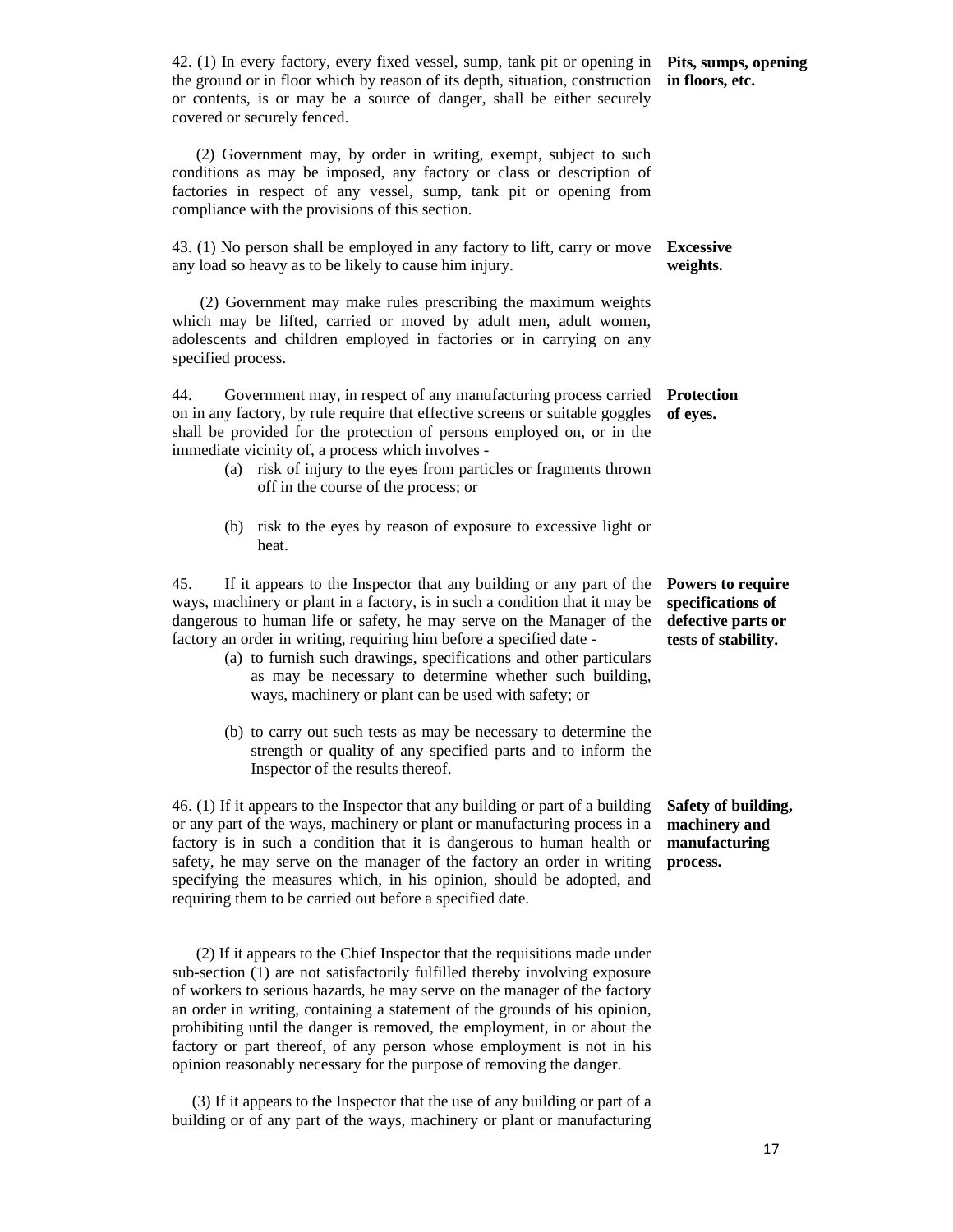42. (1) In every factory, every fixed vessel, sump, tank pit or opening in **Pits, sumps, opening**  the ground or in floor which by reason of its depth, situation, construction **in floors, etc.**  or contents, is or may be a source of danger, shall be either securely covered or securely fenced.

 (2) Government may, by order in writing, exempt, subject to such conditions as may be imposed, any factory or class or description of factories in respect of any vessel, sump, tank pit or opening from compliance with the provisions of this section.

43. (1) No person shall be employed in any factory to lift, carry or move **Excessive**  any load so heavy as to be likely to cause him injury. **weights.** 

 (2) Government may make rules prescribing the maximum weights which may be lifted, carried or moved by adult men, adult women, adolescents and children employed in factories or in carrying on any specified process.

44. Government may, in respect of any manufacturing process carried **Protection**  on in any factory, by rule require that effective screens or suitable goggles **of eyes.**  shall be provided for the protection of persons employed on, or in the immediate vicinity of, a process which involves -

- (a) risk of injury to the eyes from particles or fragments thrown off in the course of the process; or
- (b) risk to the eyes by reason of exposure to excessive light or heat.

45. If it appears to the Inspector that any building or any part of the ways, machinery or plant in a factory, is in such a condition that it may be dangerous to human life or safety, he may serve on the Manager of the factory an order in writing, requiring him before a specified date -

- (a) to furnish such drawings, specifications and other particulars as may be necessary to determine whether such building, ways, machinery or plant can be used with safety; or
- (b) to carry out such tests as may be necessary to determine the strength or quality of any specified parts and to inform the Inspector of the results thereof.

46. (1) If it appears to the Inspector that any building or part of a building or any part of the ways, machinery or plant or manufacturing process in a factory is in such a condition that it is dangerous to human health or safety, he may serve on the manager of the factory an order in writing specifying the measures which, in his opinion, should be adopted, and requiring them to be carried out before a specified date.

 (2) If it appears to the Chief Inspector that the requisitions made under sub-section (1) are not satisfactorily fulfilled thereby involving exposure of workers to serious hazards, he may serve on the manager of the factory an order in writing, containing a statement of the grounds of his opinion, prohibiting until the danger is removed, the employment, in or about the factory or part thereof, of any person whose employment is not in his opinion reasonably necessary for the purpose of removing the danger.

 (3) If it appears to the Inspector that the use of any building or part of a building or of any part of the ways, machinery or plant or manufacturing

**Powers to require specifications of defective parts or tests of stability.** 

**Safety of building, machinery and manufacturing process.** 

17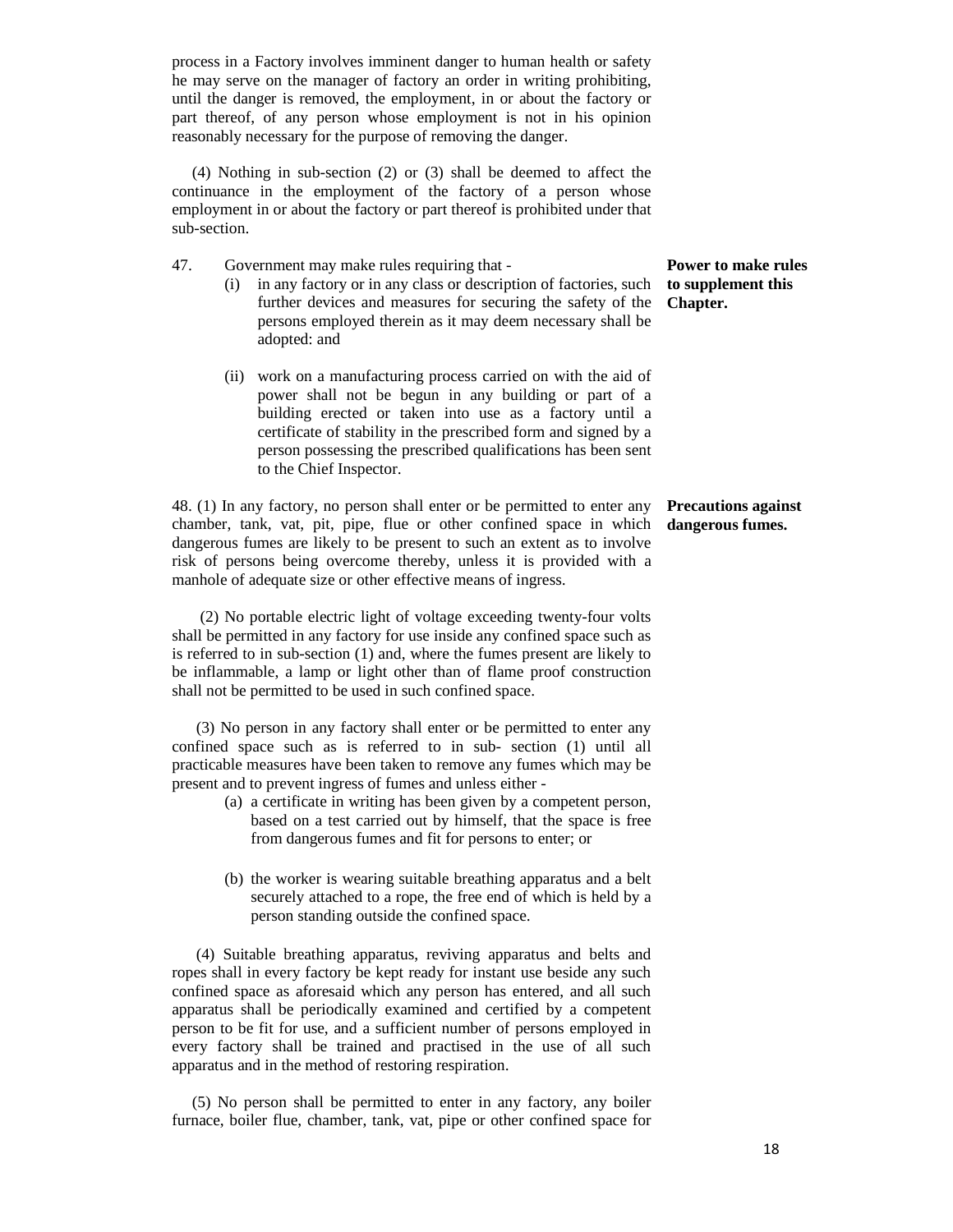process in a Factory involves imminent danger to human health or safety he may serve on the manager of factory an order in writing prohibiting, until the danger is removed, the employment, in or about the factory or part thereof, of any person whose employment is not in his opinion reasonably necessary for the purpose of removing the danger.

 (4) Nothing in sub-section (2) or (3) shall be deemed to affect the continuance in the employment of the factory of a person whose employment in or about the factory or part thereof is prohibited under that sub-section.

- 47. Government may make rules requiring that
	- (i) in any factory or in any class or description of factories, such **to supplement this**  further devices and measures for securing the safety of the persons employed therein as it may deem necessary shall be adopted: and
	- (ii) work on a manufacturing process carried on with the aid of power shall not be begun in any building or part of a building erected or taken into use as a factory until a certificate of stability in the prescribed form and signed by a person possessing the prescribed qualifications has been sent to the Chief Inspector.

48. (1) In any factory, no person shall enter or be permitted to enter any chamber, tank, vat, pit, pipe, flue or other confined space in which **dangerous fumes.** dangerous fumes are likely to be present to such an extent as to involve risk of persons being overcome thereby, unless it is provided with a manhole of adequate size or other effective means of ingress.

 (2) No portable electric light of voltage exceeding twenty-four volts shall be permitted in any factory for use inside any confined space such as is referred to in sub-section (1) and, where the fumes present are likely to be inflammable, a lamp or light other than of flame proof construction shall not be permitted to be used in such confined space.

 (3) No person in any factory shall enter or be permitted to enter any confined space such as is referred to in sub- section (1) until all practicable measures have been taken to remove any fumes which may be present and to prevent ingress of fumes and unless either -

- (a) a certificate in writing has been given by a competent person, based on a test carried out by himself, that the space is free from dangerous fumes and fit for persons to enter; or
- (b) the worker is wearing suitable breathing apparatus and a belt securely attached to a rope, the free end of which is held by a person standing outside the confined space.

 (4) Suitable breathing apparatus, reviving apparatus and belts and ropes shall in every factory be kept ready for instant use beside any such confined space as aforesaid which any person has entered, and all such apparatus shall be periodically examined and certified by a competent person to be fit for use, and a sufficient number of persons employed in every factory shall be trained and practised in the use of all such apparatus and in the method of restoring respiration.

 (5) No person shall be permitted to enter in any factory, any boiler furnace, boiler flue, chamber, tank, vat, pipe or other confined space for

## **Power to make rules Chapter.**

# **Precautions against**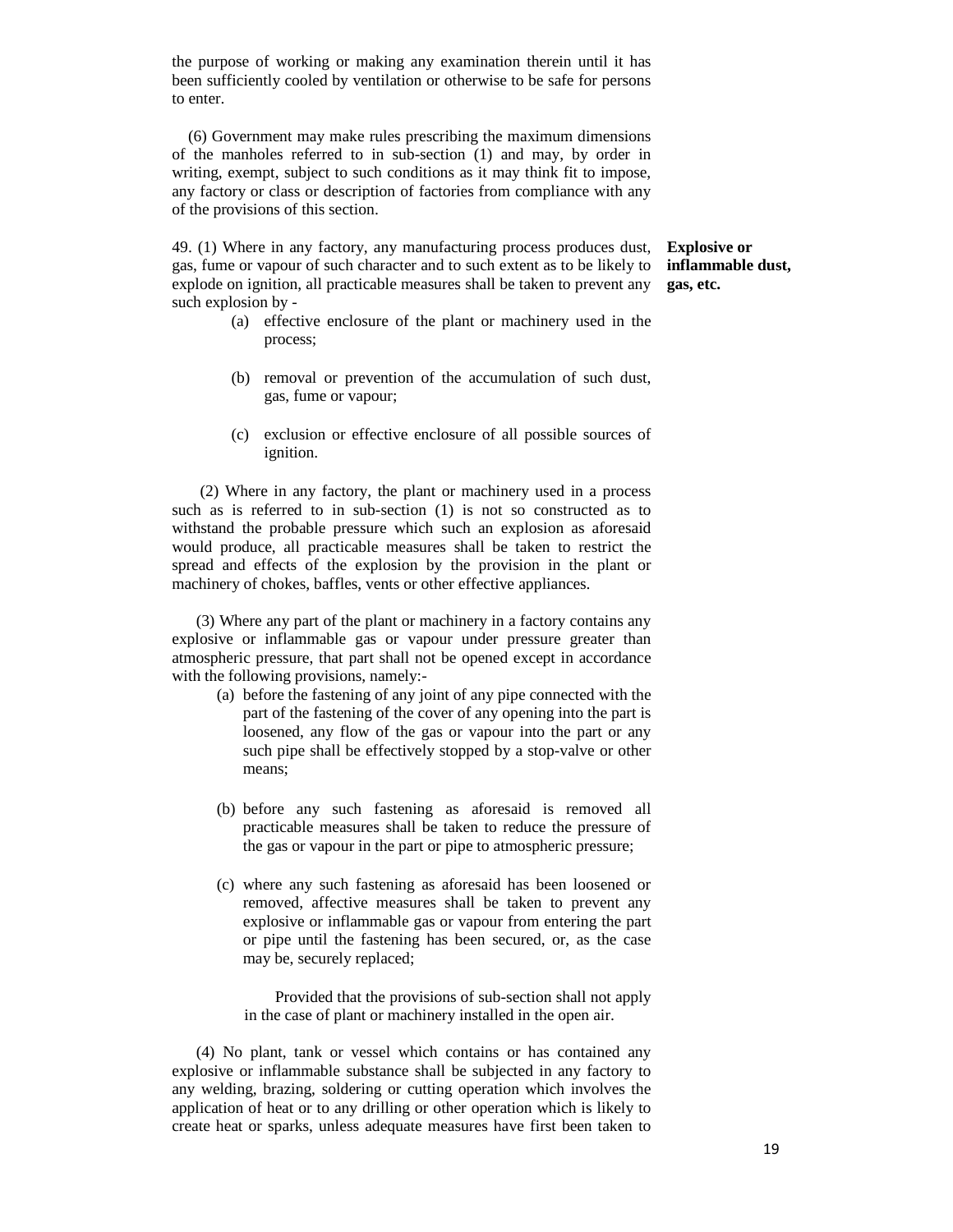the purpose of working or making any examination therein until it has been sufficiently cooled by ventilation or otherwise to be safe for persons to enter.

 (6) Government may make rules prescribing the maximum dimensions of the manholes referred to in sub-section (1) and may, by order in writing, exempt, subject to such conditions as it may think fit to impose, any factory or class or description of factories from compliance with any of the provisions of this section.

49. (1) Where in any factory, any manufacturing process produces dust, gas, fume or vapour of such character and to such extent as to be likely to explode on ignition, all practicable measures shall be taken to prevent any such explosion by -

**Explosive or inflammable dust, gas, etc.** 

- (a) effective enclosure of the plant or machinery used in the process;
- (b) removal or prevention of the accumulation of such dust, gas, fume or vapour;
- (c) exclusion or effective enclosure of all possible sources of ignition.

 (2) Where in any factory, the plant or machinery used in a process such as is referred to in sub-section (1) is not so constructed as to withstand the probable pressure which such an explosion as aforesaid would produce, all practicable measures shall be taken to restrict the spread and effects of the explosion by the provision in the plant or machinery of chokes, baffles, vents or other effective appliances.

 (3) Where any part of the plant or machinery in a factory contains any explosive or inflammable gas or vapour under pressure greater than atmospheric pressure, that part shall not be opened except in accordance with the following provisions, namely:-

- (a) before the fastening of any joint of any pipe connected with the part of the fastening of the cover of any opening into the part is loosened, any flow of the gas or vapour into the part or any such pipe shall be effectively stopped by a stop-valve or other means;
- (b) before any such fastening as aforesaid is removed all practicable measures shall be taken to reduce the pressure of the gas or vapour in the part or pipe to atmospheric pressure;
- (c) where any such fastening as aforesaid has been loosened or removed, affective measures shall be taken to prevent any explosive or inflammable gas or vapour from entering the part or pipe until the fastening has been secured, or, as the case may be, securely replaced;

 Provided that the provisions of sub-section shall not apply in the case of plant or machinery installed in the open air.

 (4) No plant, tank or vessel which contains or has contained any explosive or inflammable substance shall be subjected in any factory to any welding, brazing, soldering or cutting operation which involves the application of heat or to any drilling or other operation which is likely to create heat or sparks, unless adequate measures have first been taken to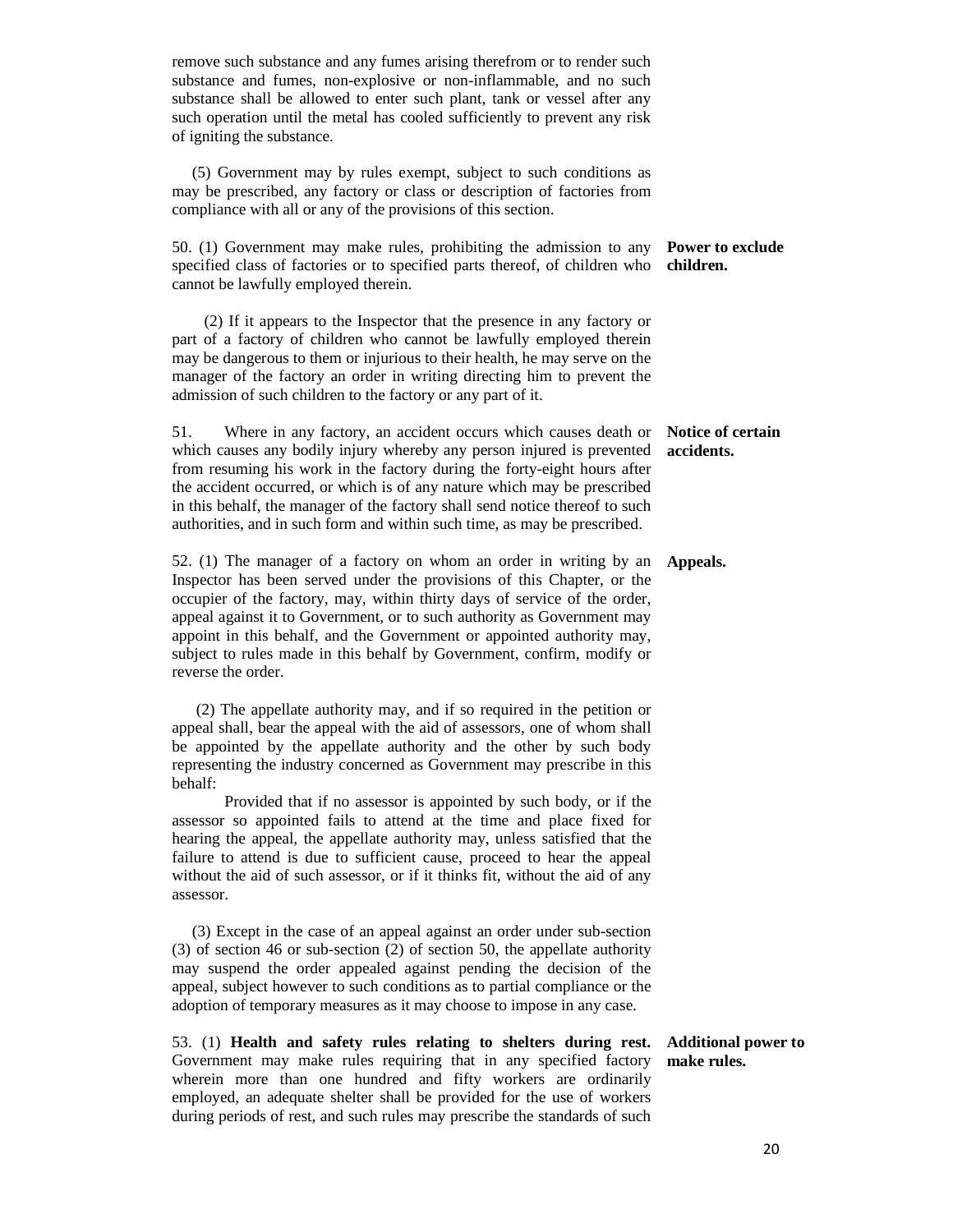| remove such substance and any fumes arising therefrom or to render such<br>substance and fumes, non-explosive or non-inflammable, and no such<br>substance shall be allowed to enter such plant, tank or vessel after any<br>such operation until the metal has cooled sufficiently to prevent any risk<br>of igniting the substance.                                                                                                                                          |                                           |
|--------------------------------------------------------------------------------------------------------------------------------------------------------------------------------------------------------------------------------------------------------------------------------------------------------------------------------------------------------------------------------------------------------------------------------------------------------------------------------|-------------------------------------------|
| (5) Government may by rules exempt, subject to such conditions as<br>may be prescribed, any factory or class or description of factories from<br>compliance with all or any of the provisions of this section.                                                                                                                                                                                                                                                                 |                                           |
| 50. (1) Government may make rules, prohibiting the admission to any<br>specified class of factories or to specified parts thereof, of children who<br>cannot be lawfully employed therein.                                                                                                                                                                                                                                                                                     | Power to exclude<br>children.             |
| (2) If it appears to the Inspector that the presence in any factory or<br>part of a factory of children who cannot be lawfully employed therein<br>may be dangerous to them or injurious to their health, he may serve on the<br>manager of the factory an order in writing directing him to prevent the<br>admission of such children to the factory or any part of it.                                                                                                       |                                           |
| Where in any factory, an accident occurs which causes death or<br>51.<br>which causes any bodily injury whereby any person injured is prevented<br>from resuming his work in the factory during the forty-eight hours after<br>the accident occurred, or which is of any nature which may be prescribed<br>in this behalf, the manager of the factory shall send notice thereof to such<br>authorities, and in such form and within such time, as may be prescribed.           | Notice of certain<br>accidents.           |
| 52. (1) The manager of a factory on whom an order in writing by an<br>Inspector has been served under the provisions of this Chapter, or the<br>occupier of the factory, may, within thirty days of service of the order,<br>appeal against it to Government, or to such authority as Government may<br>appoint in this behalf, and the Government or appointed authority may,<br>subject to rules made in this behalf by Government, confirm, modify or<br>reverse the order. | Appeals.                                  |
| (2) The appellate authority may, and if so required in the petition or<br>appeal shall, bear the appeal with the aid of assessors, one of whom shall<br>be appointed by the appellate authority and the other by such body<br>representing the industry concerned as Government may prescribe in this<br>behalf:                                                                                                                                                               |                                           |
| Provided that if no assessor is appointed by such body, or if the<br>assessor so appointed fails to attend at the time and place fixed for<br>hearing the appeal, the appellate authority may, unless satisfied that the<br>failure to attend is due to sufficient cause, proceed to hear the appeal<br>without the aid of such assessor, or if it thinks fit, without the aid of any<br>assessor.                                                                             |                                           |
| (3) Except in the case of an appeal against an order under sub-section<br>$(3)$ of section 46 or sub-section $(2)$ of section 50, the appellate authority<br>may suspend the order appealed against pending the decision of the<br>appeal, subject however to such conditions as to partial compliance or the<br>adoption of temporary measures as it may choose to impose in any case.                                                                                        |                                           |
| 53. (1) Health and safety rules relating to shelters during rest.<br>Government may make rules requiring that in any specified factory<br>wherein more than one hundred and fifty workers are ordinarily                                                                                                                                                                                                                                                                       | <b>Additional power to</b><br>make rules. |

employed, an adequate shelter shall be provided for the use of workers during periods of rest, and such rules may prescribe the standards of such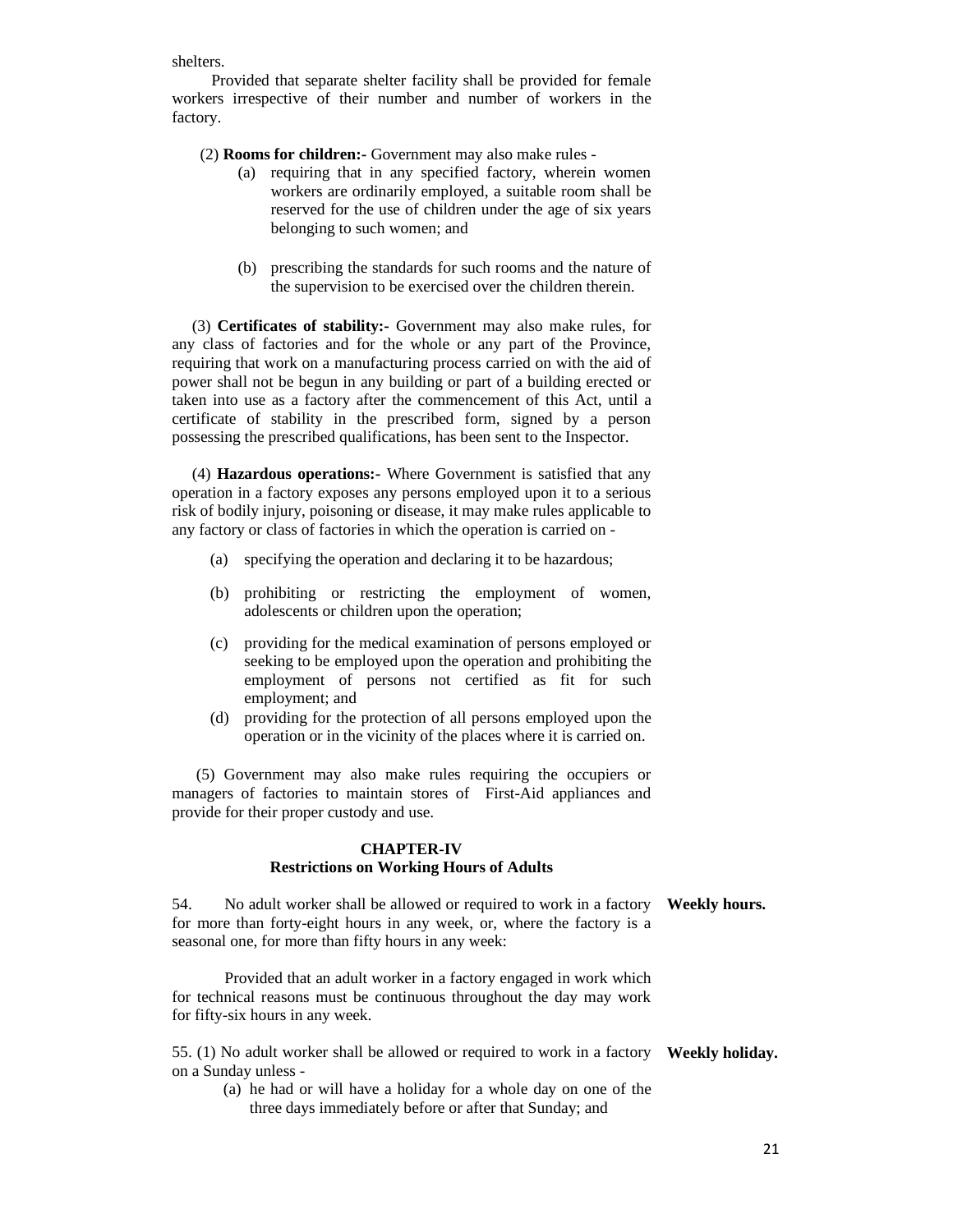shelters.

 Provided that separate shelter facility shall be provided for female workers irrespective of their number and number of workers in the factory.

(2) **Rooms for children:-** Government may also make rules -

- (a) requiring that in any specified factory, wherein women workers are ordinarily employed, a suitable room shall be reserved for the use of children under the age of six years belonging to such women; and
- (b) prescribing the standards for such rooms and the nature of the supervision to be exercised over the children therein.

 (3) **Certificates of stability:-** Government may also make rules, for any class of factories and for the whole or any part of the Province, requiring that work on a manufacturing process carried on with the aid of power shall not be begun in any building or part of a building erected or taken into use as a factory after the commencement of this Act, until a certificate of stability in the prescribed form, signed by a person possessing the prescribed qualifications, has been sent to the Inspector.

 (4) **Hazardous operations:-** Where Government is satisfied that any operation in a factory exposes any persons employed upon it to a serious risk of bodily injury, poisoning or disease, it may make rules applicable to any factory or class of factories in which the operation is carried on -

- (a) specifying the operation and declaring it to be hazardous;
- (b) prohibiting or restricting the employment of women, adolescents or children upon the operation;
- (c) providing for the medical examination of persons employed or seeking to be employed upon the operation and prohibiting the employment of persons not certified as fit for such employment; and
- (d) providing for the protection of all persons employed upon the operation or in the vicinity of the places where it is carried on.

 (5) Government may also make rules requiring the occupiers or managers of factories to maintain stores of First-Aid appliances and provide for their proper custody and use.

#### **CHAPTER-IV Restrictions on Working Hours of Adults**

54. No adult worker shall be allowed or required to work in a factory **Weekly hours.**  for more than forty-eight hours in any week, or, where the factory is a seasonal one, for more than fifty hours in any week:

 Provided that an adult worker in a factory engaged in work which for technical reasons must be continuous throughout the day may work for fifty-six hours in any week.

55. (1) No adult worker shall be allowed or required to work in a factory **Weekly holiday.** on a Sunday unless -

(a) he had or will have a holiday for a whole day on one of the three days immediately before or after that Sunday; and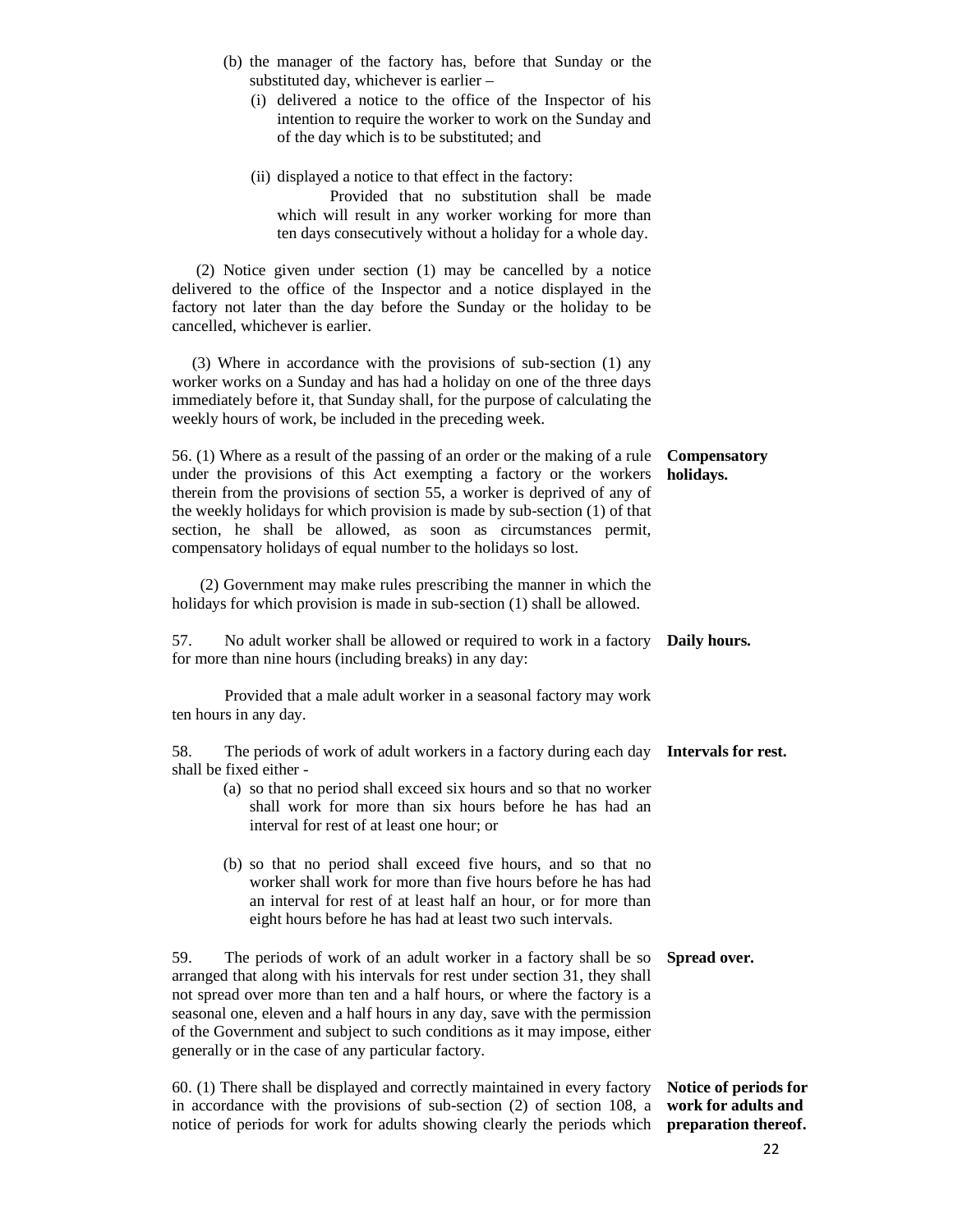|  | (b) the manager of the factory has, before that Sunday or the |  |  |  |  |  |
|--|---------------------------------------------------------------|--|--|--|--|--|
|  | substituted day, whichever is earlier $-$                     |  |  |  |  |  |

(i) delivered a notice to the office of the Inspector of his intention to require the worker to work on the Sunday and of the day which is to be substituted; and

| (ii) displayed a notice to that effect in the factory:    |  |  |  |  |
|-----------------------------------------------------------|--|--|--|--|
| Provided that no substitution shall be made               |  |  |  |  |
| which will result in any worker working for more than     |  |  |  |  |
| ten days consecutively without a holiday for a whole day. |  |  |  |  |

 (2) Notice given under section (1) may be cancelled by a notice delivered to the office of the Inspector and a notice displayed in the factory not later than the day before the Sunday or the holiday to be cancelled, whichever is earlier.

 (3) Where in accordance with the provisions of sub-section (1) any worker works on a Sunday and has had a holiday on one of the three days immediately before it, that Sunday shall, for the purpose of calculating the weekly hours of work, be included in the preceding week.

56. (1) Where as a result of the passing of an order or the making of a rule under the provisions of this Act exempting a factory or the workers therein from the provisions of section 55, a worker is deprived of any of the weekly holidays for which provision is made by sub-section (1) of that section, he shall be allowed, as soon as circumstances permit, compensatory holidays of equal number to the holidays so lost. **Compensatory holidays.** 

 (2) Government may make rules prescribing the manner in which the holidays for which provision is made in sub-section (1) shall be allowed.

57. No adult worker shall be allowed or required to work in a factory **Daily hours.**  for more than nine hours (including breaks) in any day:

 Provided that a male adult worker in a seasonal factory may work ten hours in any day.

58. The periods of work of adult workers in a factory during each day **Intervals for rest.**  shall be fixed either -

- (a) so that no period shall exceed six hours and so that no worker shall work for more than six hours before he has had an interval for rest of at least one hour; or
- (b) so that no period shall exceed five hours, and so that no worker shall work for more than five hours before he has had an interval for rest of at least half an hour, or for more than eight hours before he has had at least two such intervals.

59. The periods of work of an adult worker in a factory shall be so **Spread over.**  arranged that along with his intervals for rest under section 31, they shall not spread over more than ten and a half hours, or where the factory is a seasonal one, eleven and a half hours in any day, save with the permission of the Government and subject to such conditions as it may impose, either generally or in the case of any particular factory.

60. (1) There shall be displayed and correctly maintained in every factory in accordance with the provisions of sub-section (2) of section 108, a **work for adults and**  notice of periods for work for adults showing clearly the periods which **preparation thereof. Notice of periods for**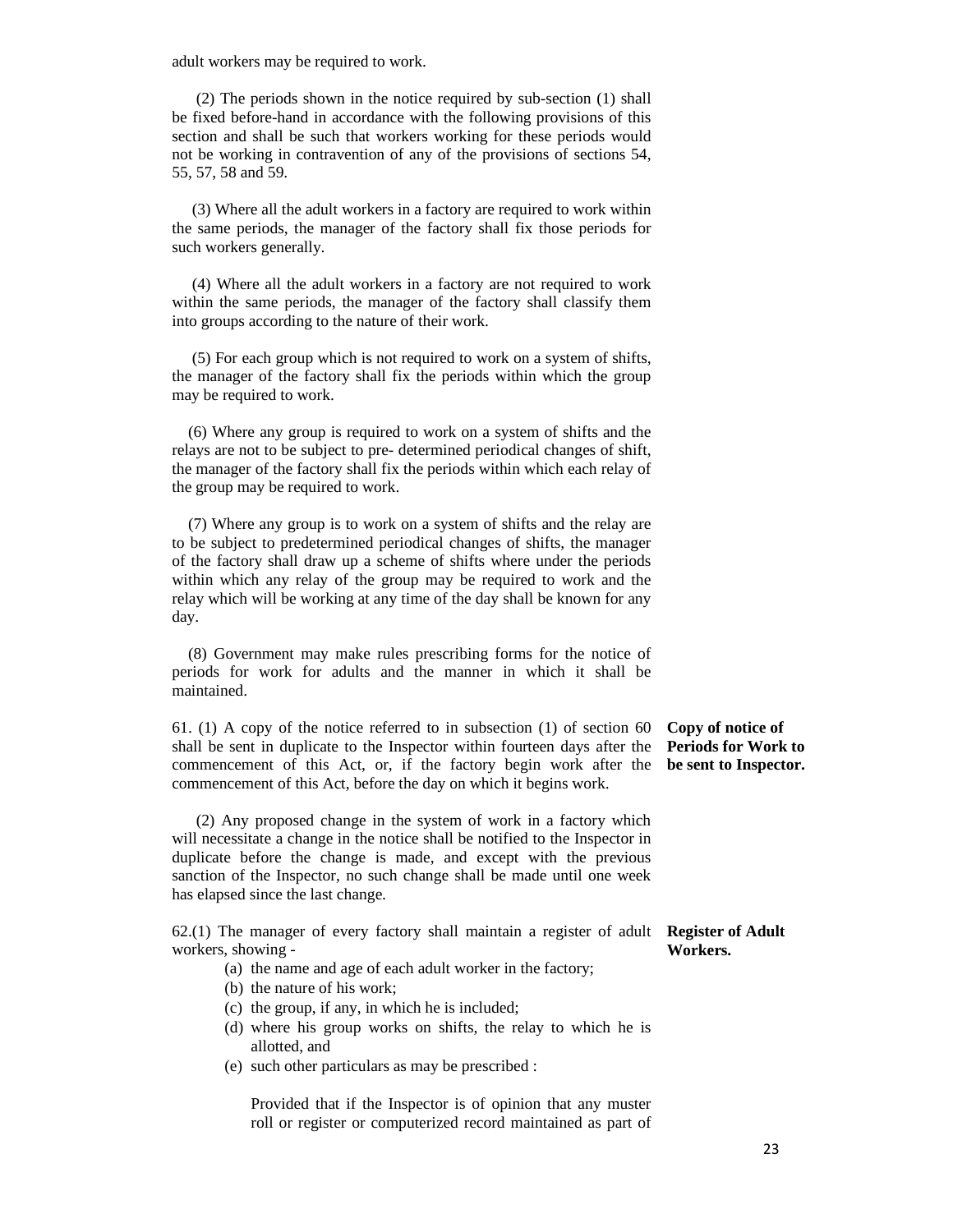adult workers may be required to work.

 (2) The periods shown in the notice required by sub-section (1) shall be fixed before-hand in accordance with the following provisions of this section and shall be such that workers working for these periods would not be working in contravention of any of the provisions of sections 54, 55, 57, 58 and 59.

 (3) Where all the adult workers in a factory are required to work within the same periods, the manager of the factory shall fix those periods for such workers generally.

 (4) Where all the adult workers in a factory are not required to work within the same periods, the manager of the factory shall classify them into groups according to the nature of their work.

 (5) For each group which is not required to work on a system of shifts, the manager of the factory shall fix the periods within which the group may be required to work.

 (6) Where any group is required to work on a system of shifts and the relays are not to be subject to pre- determined periodical changes of shift, the manager of the factory shall fix the periods within which each relay of the group may be required to work.

 (7) Where any group is to work on a system of shifts and the relay are to be subject to predetermined periodical changes of shifts, the manager of the factory shall draw up a scheme of shifts where under the periods within which any relay of the group may be required to work and the relay which will be working at any time of the day shall be known for any day.

 (8) Government may make rules prescribing forms for the notice of periods for work for adults and the manner in which it shall be maintained.

61. (1) A copy of the notice referred to in subsection (1) of section 60 shall be sent in duplicate to the Inspector within fourteen days after the commencement of this Act, or, if the factory begin work after the commencement of this Act, before the day on which it begins work.

 (2) Any proposed change in the system of work in a factory which will necessitate a change in the notice shall be notified to the Inspector in duplicate before the change is made, and except with the previous sanction of the Inspector, no such change shall be made until one week has elapsed since the last change.

62.(1) The manager of every factory shall maintain a register of adult **Register of Adult**  workers, showing - **Workers.** 

(a) the name and age of each adult worker in the factory;

- (b) the nature of his work;
- (c) the group, if any, in which he is included;
- (d) where his group works on shifts, the relay to which he is allotted, and
- (e) such other particulars as may be prescribed :

 Provided that if the Inspector is of opinion that any muster roll or register or computerized record maintained as part of

**Copy of notice of Periods for Work to be sent to Inspector.**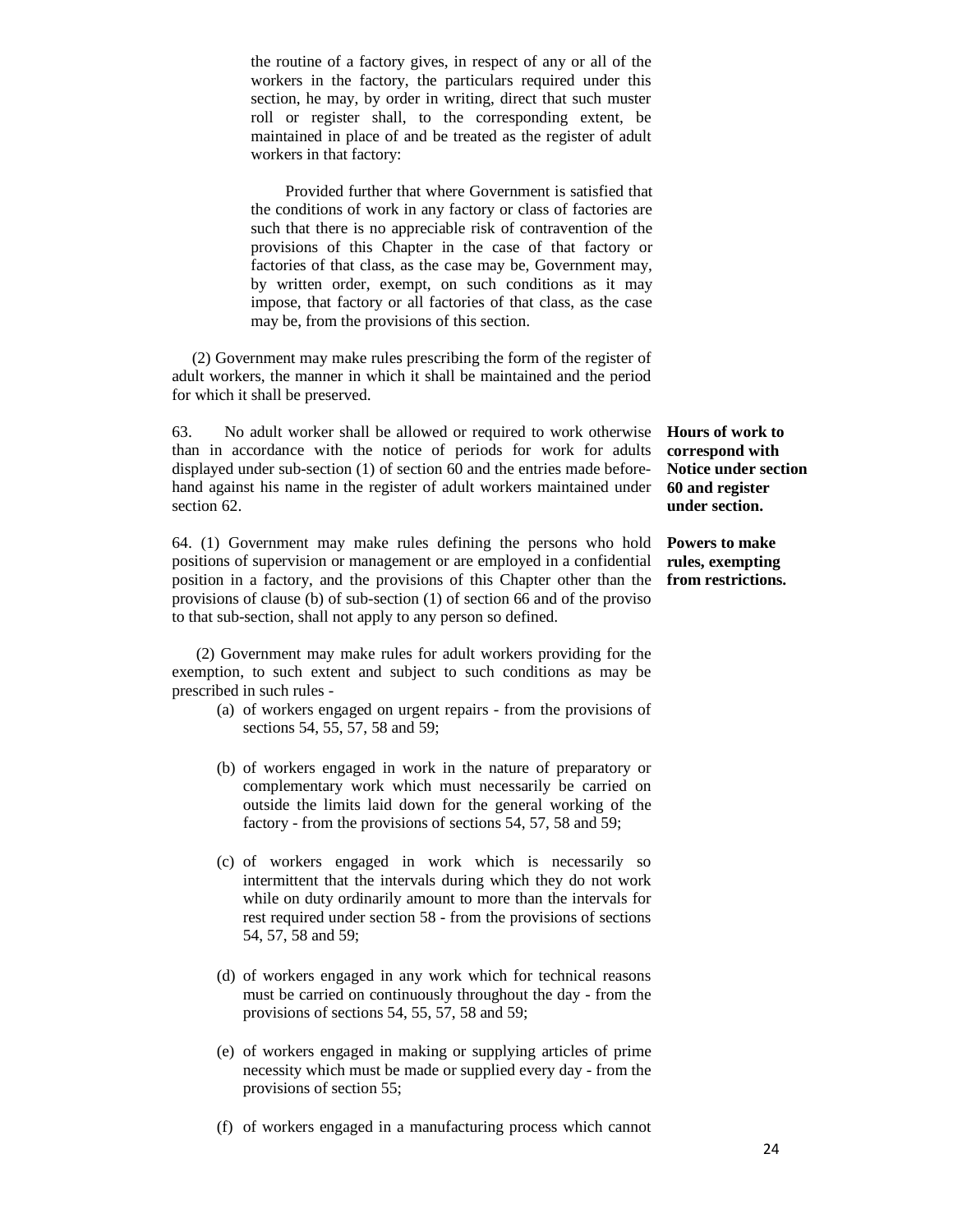the routine of a factory gives, in respect of any or all of the workers in the factory, the particulars required under this section, he may, by order in writing, direct that such muster roll or register shall, to the corresponding extent, be maintained in place of and be treated as the register of adult workers in that factory:

 Provided further that where Government is satisfied that the conditions of work in any factory or class of factories are such that there is no appreciable risk of contravention of the provisions of this Chapter in the case of that factory or factories of that class, as the case may be, Government may, by written order, exempt, on such conditions as it may impose, that factory or all factories of that class, as the case may be, from the provisions of this section.

 (2) Government may make rules prescribing the form of the register of adult workers, the manner in which it shall be maintained and the period for which it shall be preserved.

63. No adult worker shall be allowed or required to work otherwise than in accordance with the notice of periods for work for adults displayed under sub-section (1) of section 60 and the entries made beforehand against his name in the register of adult workers maintained under section 62.

64. (1) Government may make rules defining the persons who hold **Powers to make**  positions of supervision or management or are employed in a confidential position in a factory, and the provisions of this Chapter other than the provisions of clause (b) of sub-section (1) of section 66 and of the proviso to that sub-section, shall not apply to any person so defined.

 (2) Government may make rules for adult workers providing for the exemption, to such extent and subject to such conditions as may be prescribed in such rules -

- (a) of workers engaged on urgent repairs from the provisions of sections 54, 55, 57, 58 and 59;
- (b) of workers engaged in work in the nature of preparatory or complementary work which must necessarily be carried on outside the limits laid down for the general working of the factory - from the provisions of sections 54, 57, 58 and 59;
- (c) of workers engaged in work which is necessarily so intermittent that the intervals during which they do not work while on duty ordinarily amount to more than the intervals for rest required under section 58 - from the provisions of sections 54, 57, 58 and 59;
- (d) of workers engaged in any work which for technical reasons must be carried on continuously throughout the day - from the provisions of sections 54, 55, 57, 58 and 59;
- (e) of workers engaged in making or supplying articles of prime necessity which must be made or supplied every day - from the provisions of section 55;
- (f) of workers engaged in a manufacturing process which cannot

**Hours of work to correspond with Notice under section 60 and register under section.** 

**rules, exempting from restrictions.**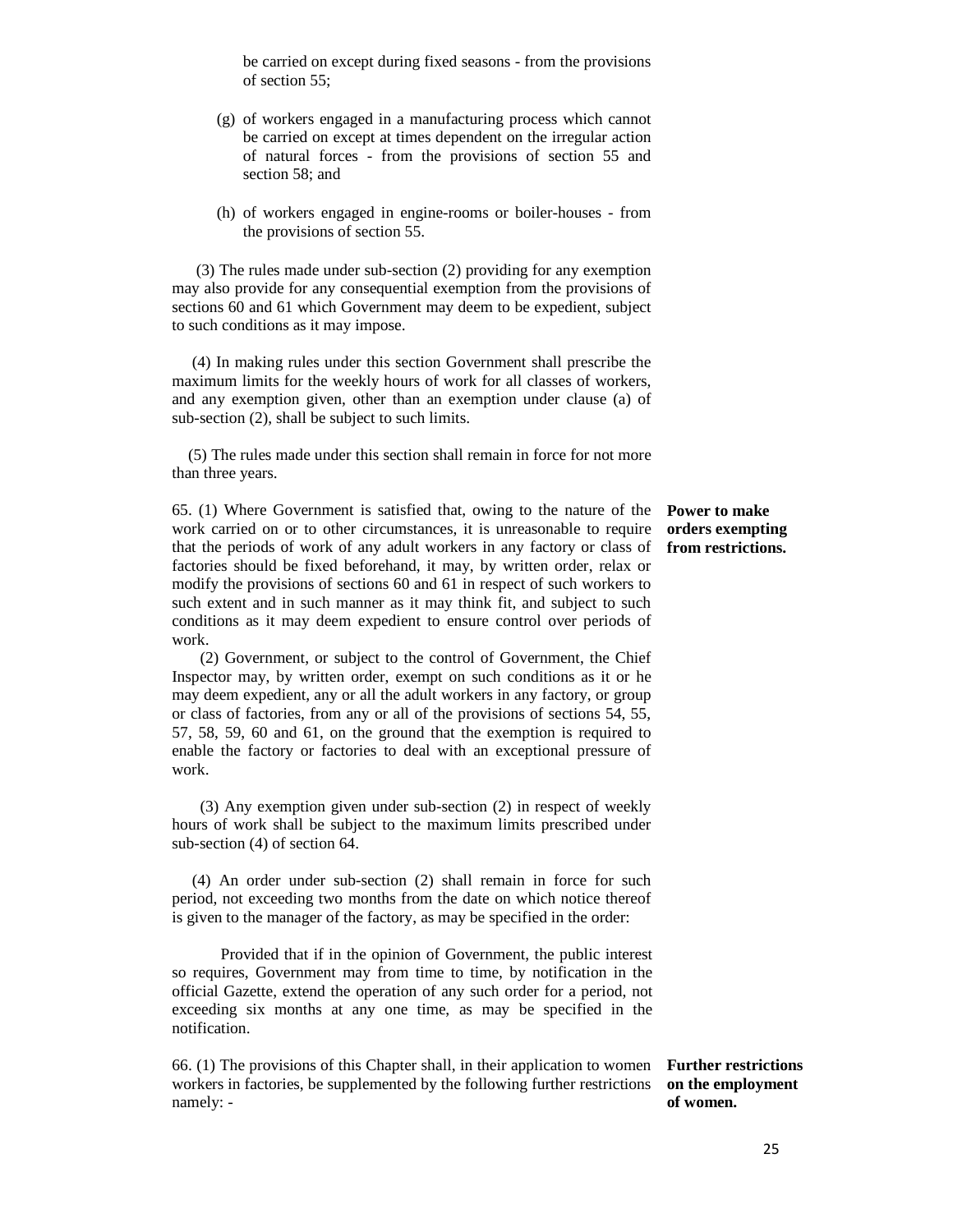be carried on except during fixed seasons - from the provisions of section 55;

- (g) of workers engaged in a manufacturing process which cannot be carried on except at times dependent on the irregular action of natural forces - from the provisions of section 55 and section 58; and
- (h) of workers engaged in engine-rooms or boiler-houses from the provisions of section 55.

 (3) The rules made under sub-section (2) providing for any exemption may also provide for any consequential exemption from the provisions of sections 60 and 61 which Government may deem to be expedient, subject to such conditions as it may impose.

 (4) In making rules under this section Government shall prescribe the maximum limits for the weekly hours of work for all classes of workers, and any exemption given, other than an exemption under clause (a) of sub-section (2), shall be subject to such limits.

 (5) The rules made under this section shall remain in force for not more than three years.

65. (1) Where Government is satisfied that, owing to the nature of the **Power to make**  work carried on or to other circumstances, it is unreasonable to require that the periods of work of any adult workers in any factory or class of **from restrictions.**  factories should be fixed beforehand, it may, by written order, relax or modify the provisions of sections 60 and 61 in respect of such workers to such extent and in such manner as it may think fit, and subject to such conditions as it may deem expedient to ensure control over periods of work.

 (2) Government, or subject to the control of Government, the Chief Inspector may, by written order, exempt on such conditions as it or he may deem expedient, any or all the adult workers in any factory, or group or class of factories, from any or all of the provisions of sections 54, 55, 57, 58, 59, 60 and 61, on the ground that the exemption is required to enable the factory or factories to deal with an exceptional pressure of work.

 (3) Any exemption given under sub-section (2) in respect of weekly hours of work shall be subject to the maximum limits prescribed under sub-section (4) of section 64.

 (4) An order under sub-section (2) shall remain in force for such period, not exceeding two months from the date on which notice thereof is given to the manager of the factory, as may be specified in the order:

 Provided that if in the opinion of Government, the public interest so requires, Government may from time to time, by notification in the official Gazette, extend the operation of any such order for a period, not exceeding six months at any one time, as may be specified in the notification.

66. (1) The provisions of this Chapter shall, in their application to women **Further restrictions**  workers in factories, be supplemented by the following further restrictions namely: -

**orders exempting**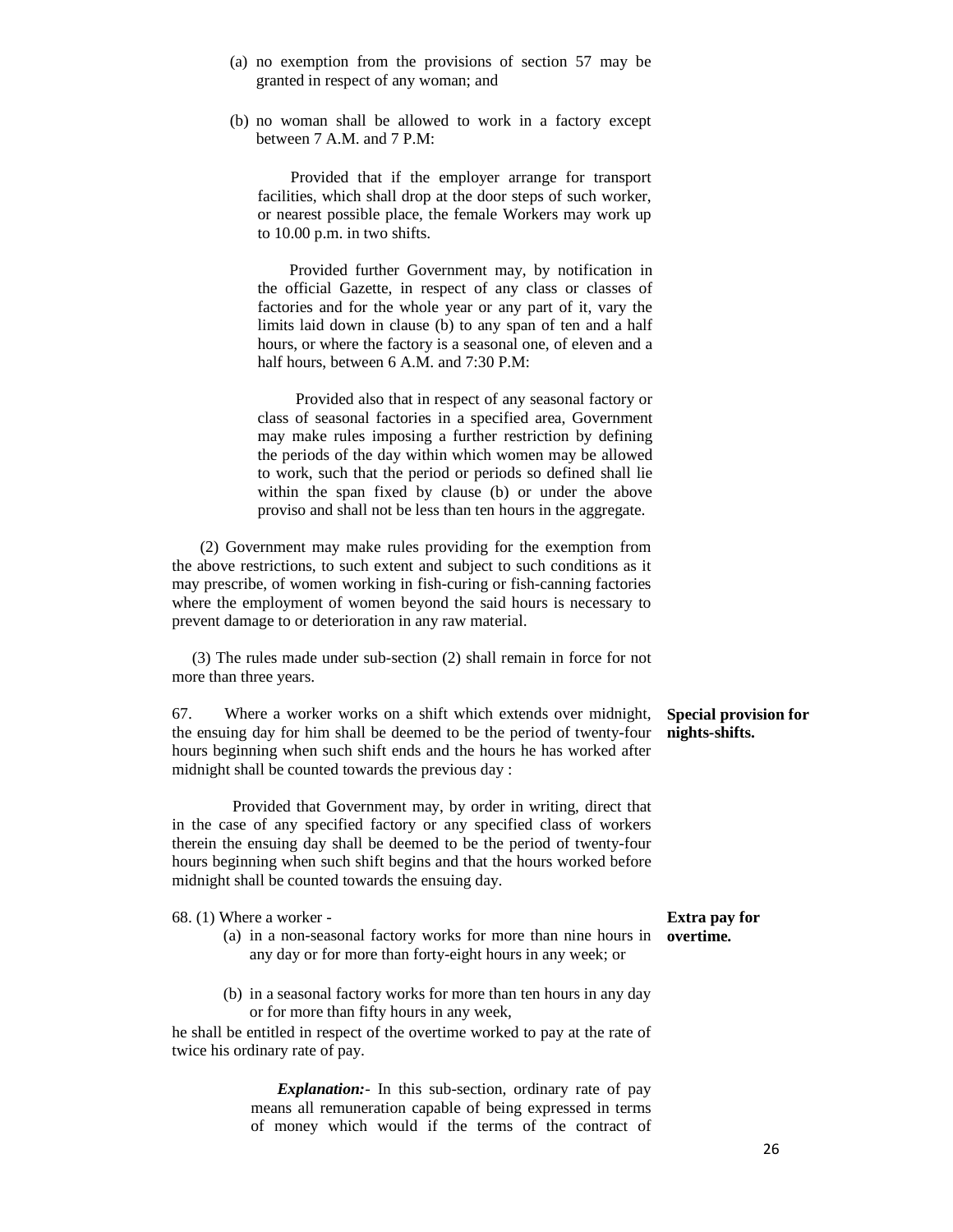- (a) no exemption from the provisions of section 57 may be granted in respect of any woman; and
- (b) no woman shall be allowed to work in a factory except between 7 A.M. and 7 P.M:

 Provided that if the employer arrange for transport facilities, which shall drop at the door steps of such worker, or nearest possible place, the female Workers may work up to 10.00 p.m. in two shifts.

 Provided further Government may, by notification in the official Gazette, in respect of any class or classes of factories and for the whole year or any part of it, vary the limits laid down in clause (b) to any span of ten and a half hours, or where the factory is a seasonal one, of eleven and a half hours, between 6 A.M. and 7:30 P.M:

Provided also that in respect of any seasonal factory or class of seasonal factories in a specified area, Government may make rules imposing a further restriction by defining the periods of the day within which women may be allowed to work, such that the period or periods so defined shall lie within the span fixed by clause (b) or under the above proviso and shall not be less than ten hours in the aggregate.

 (2) Government may make rules providing for the exemption from the above restrictions, to such extent and subject to such conditions as it may prescribe, of women working in fish-curing or fish-canning factories where the employment of women beyond the said hours is necessary to prevent damage to or deterioration in any raw material.

 (3) The rules made under sub-section (2) shall remain in force for not more than three years.

67. Where a worker works on a shift which extends over midnight, the ensuing day for him shall be deemed to be the period of twenty-four hours beginning when such shift ends and the hours he has worked after midnight shall be counted towards the previous day :

 Provided that Government may, by order in writing, direct that in the case of any specified factory or any specified class of workers therein the ensuing day shall be deemed to be the period of twenty-four hours beginning when such shift begins and that the hours worked before midnight shall be counted towards the ensuing day.

68. (1) Where a worker -

- (a) in a non-seasonal factory works for more than nine hours in **overtime.** any day or for more than forty-eight hours in any week; or
- (b) in a seasonal factory works for more than ten hours in any day or for more than fifty hours in any week,

he shall be entitled in respect of the overtime worked to pay at the rate of twice his ordinary rate of pay.

> *Explanation:*- In this sub-section, ordinary rate of pay means all remuneration capable of being expressed in terms of money which would if the terms of the contract of

**Special provision for nights-shifts.** 

**Extra pay for**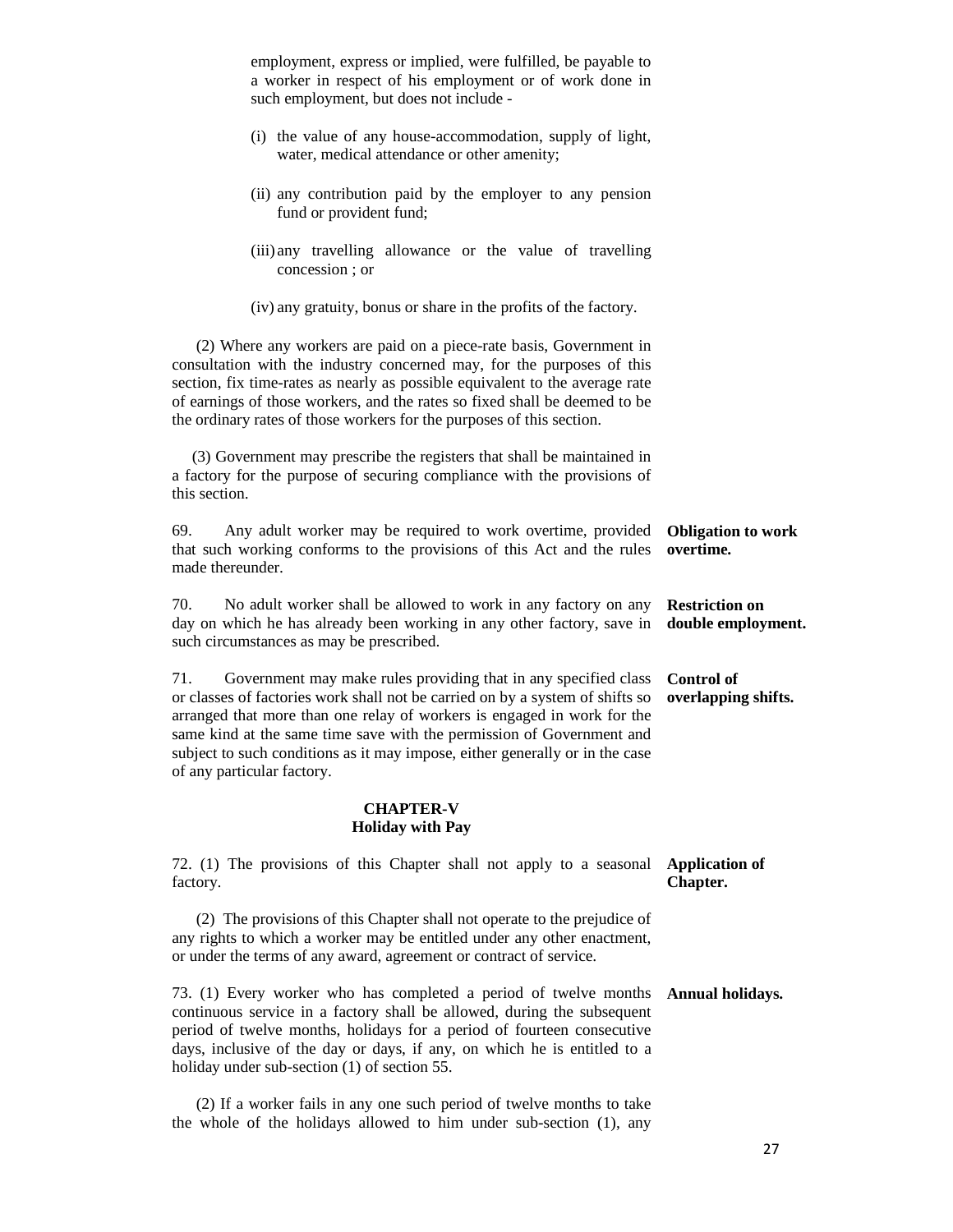employment, express or implied, were fulfilled, be payable to a worker in respect of his employment or of work done in such employment, but does not include -

- (i) the value of any house-accommodation, supply of light, water, medical attendance or other amenity;
- (ii) any contribution paid by the employer to any pension fund or provident fund;
- (iii) any travelling allowance or the value of travelling concession ; or
- (iv) any gratuity, bonus or share in the profits of the factory.

 (2) Where any workers are paid on a piece-rate basis, Government in consultation with the industry concerned may, for the purposes of this section, fix time-rates as nearly as possible equivalent to the average rate of earnings of those workers, and the rates so fixed shall be deemed to be the ordinary rates of those workers for the purposes of this section.

 (3) Government may prescribe the registers that shall be maintained in a factory for the purpose of securing compliance with the provisions of this section.

69. Any adult worker may be required to work overtime, provided that such working conforms to the provisions of this Act and the rules made thereunder. **Obligation to work overtime.** 

70. No adult worker shall be allowed to work in any factory on any day on which he has already been working in any other factory, save in such circumstances as may be prescribed. **Restriction on double employment.** 

71. Government may make rules providing that in any specified class or classes of factories work shall not be carried on by a system of shifts so arranged that more than one relay of workers is engaged in work for the same kind at the same time save with the permission of Government and subject to such conditions as it may impose, either generally or in the case of any particular factory. **Control of overlapping shifts.** 

#### **CHAPTER-V Holiday with Pay**

| 72. (1) The provisions of this Chapter shall not apply to a seasonal<br>factory.                                                                                                                                                                                                                                                                                          | <b>Application of</b><br>Chapter. |
|---------------------------------------------------------------------------------------------------------------------------------------------------------------------------------------------------------------------------------------------------------------------------------------------------------------------------------------------------------------------------|-----------------------------------|
| (2) The provisions of this Chapter shall not operate to the prejudice of<br>any rights to which a worker may be entitled under any other enactment,<br>or under the terms of any award, agreement or contract of service.                                                                                                                                                 |                                   |
| 73. (1) Every worker who has completed a period of twelve months <b>Annual holidays.</b><br>continuous service in a factory shall be allowed, during the subsequent<br>period of twelve months, holidays for a period of fourteen consecutive<br>days, inclusive of the day or days, if any, on which he is entitled to a<br>holiday under sub-section (1) of section 55. |                                   |

 (2) If a worker fails in any one such period of twelve months to take the whole of the holidays allowed to him under sub-section (1), any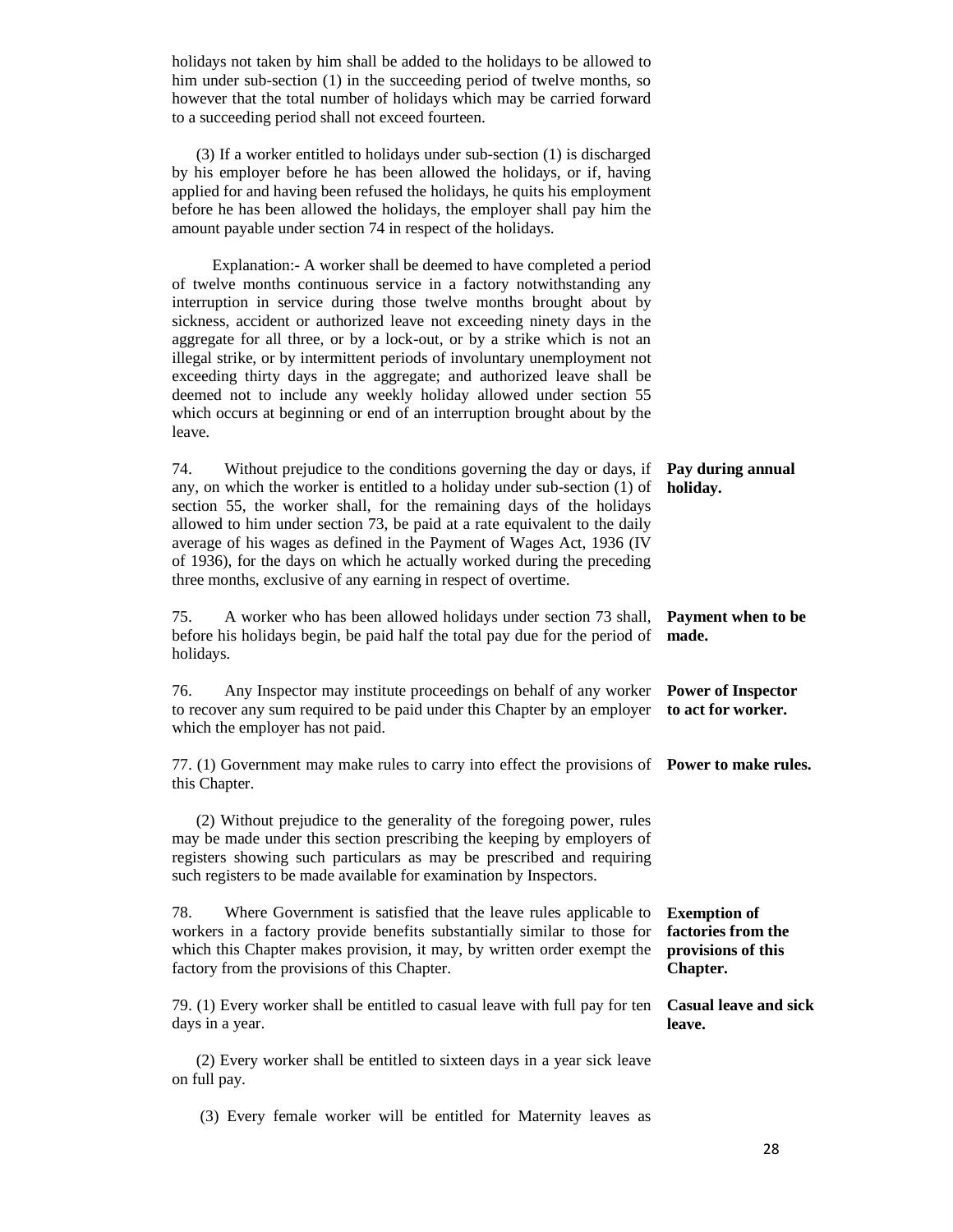holidays not taken by him shall be added to the holidays to be allowed to him under sub-section (1) in the succeeding period of twelve months, so however that the total number of holidays which may be carried forward to a succeeding period shall not exceed fourteen. (3) If a worker entitled to holidays under sub-section (1) is discharged by his employer before he has been allowed the holidays, or if, having applied for and having been refused the holidays, he quits his employment before he has been allowed the holidays, the employer shall pay him the amount payable under section 74 in respect of the holidays. Explanation:- A worker shall be deemed to have completed a period of twelve months continuous service in a factory notwithstanding any interruption in service during those twelve months brought about by sickness, accident or authorized leave not exceeding ninety days in the aggregate for all three, or by a lock-out, or by a strike which is not an illegal strike, or by intermittent periods of involuntary unemployment not exceeding thirty days in the aggregate; and authorized leave shall be deemed not to include any weekly holiday allowed under section 55 which occurs at beginning or end of an interruption brought about by the leave. 74. Without prejudice to the conditions governing the day or days, if any, on which the worker is entitled to a holiday under sub-section (1) of section 55, the worker shall, for the remaining days of the holidays allowed to him under section 73, be paid at a rate equivalent to the daily average of his wages as defined in the Payment of Wages Act, 1936 (IV of 1936), for the days on which he actually worked during the preceding three months, exclusive of any earning in respect of overtime. **Pay during annual holiday.**  75. A worker who has been allowed holidays under section 73 shall, **Payment when to be**  before his holidays begin, be paid half the total pay due for the period of **made.**  holidays. 76. Any Inspector may institute proceedings on behalf of any worker **Power of Inspector**  to recover any sum required to be paid under this Chapter by an employer **to act for worker.**  which the employer has not paid. 77. (1) Government may make rules to carry into effect the provisions of **Power to make rules.**  this Chapter. (2) Without prejudice to the generality of the foregoing power, rules may be made under this section prescribing the keeping by employers of registers showing such particulars as may be prescribed and requiring such registers to be made available for examination by Inspectors. 78. Where Government is satisfied that the leave rules applicable to workers in a factory provide benefits substantially similar to those for which this Chapter makes provision, it may, by written order exempt the factory from the provisions of this Chapter. **Exemption of factories from the provisions of this Chapter.**  79. (1) Every worker shall be entitled to casual leave with full pay for ten **Casual leave and sick**  days in a year. (2) Every worker shall be entitled to sixteen days in a year sick leave on full pay. **leave.** 

(3) Every female worker will be entitled for Maternity leaves as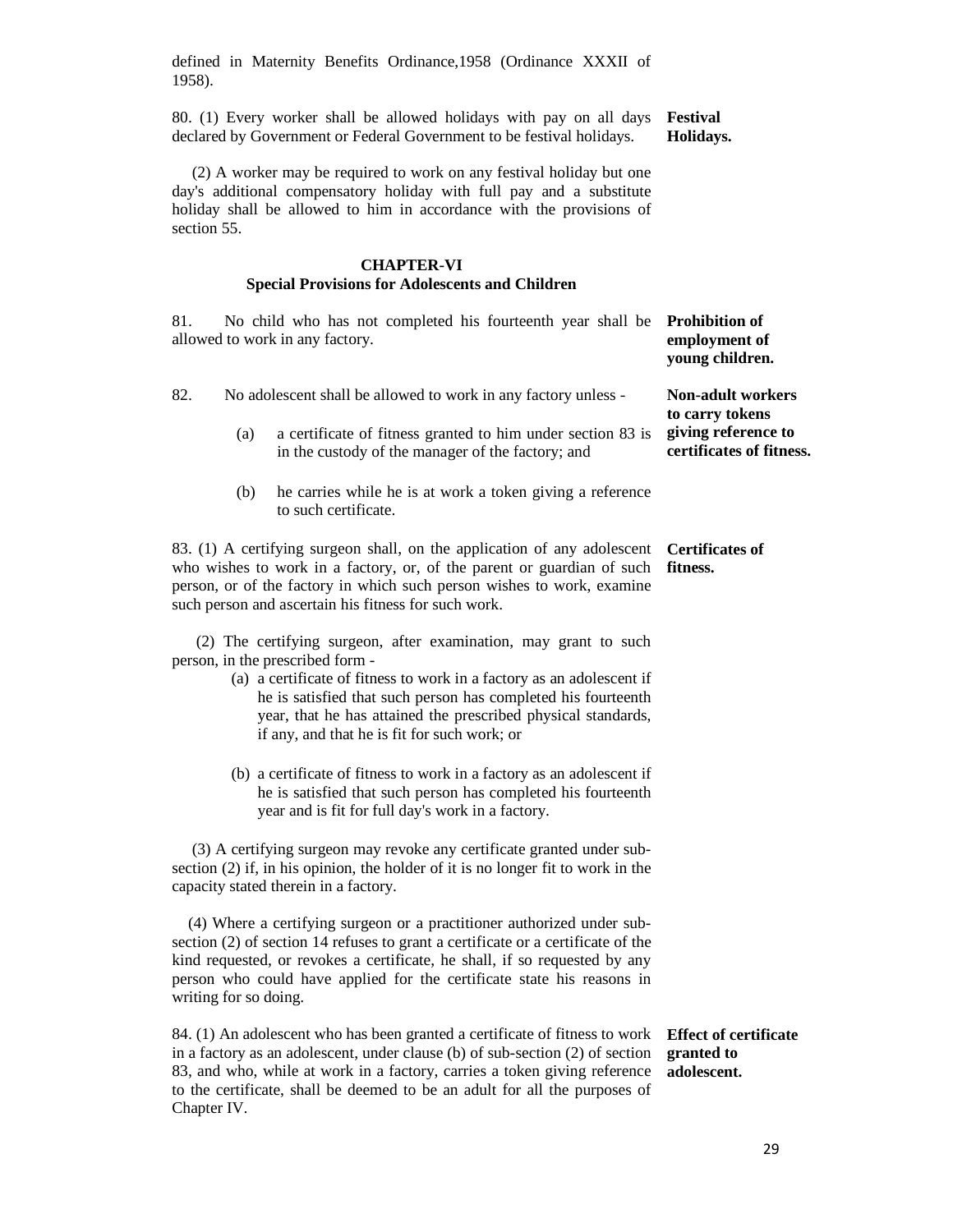defined in Maternity Benefits Ordinance,1958 (Ordinance XXXII of 1958).

80. (1) Every worker shall be allowed holidays with pay on all days declared by Government or Federal Government to be festival holidays. **Festival Holidays.** 

 (2) A worker may be required to work on any festival holiday but one day's additional compensatory holiday with full pay and a substitute holiday shall be allowed to him in accordance with the provisions of section 55.

### **CHAPTER-VI Special Provisions for Adolescents and Children**

81. No child who has not completed his fourteenth year shall be **Prohibition of**  allowed to work in any factory. **employment of young children.** 

| 82. |     | No adolescent shall be allowed to work in any factory unless -                                                                                                                                                                                                                                                                                                  | <b>Non-adult workers</b><br>to carry tokens     |
|-----|-----|-----------------------------------------------------------------------------------------------------------------------------------------------------------------------------------------------------------------------------------------------------------------------------------------------------------------------------------------------------------------|-------------------------------------------------|
|     | (a) | a certificate of fitness granted to him under section 83 is<br>in the custody of the manager of the factory; and                                                                                                                                                                                                                                                | giving reference to<br>certificates of fitness. |
|     | (b) | he carries while he is at work a token giving a reference<br>to such certificate.                                                                                                                                                                                                                                                                               |                                                 |
|     |     | 83. (1) A certifying surgeon shall, on the application of any adolescent<br>who wishes to work in a factory, or, of the parent or guardian of such<br>person, or of the factory in which such person wishes to work, examine<br>such person and ascertain his fitness for such work.                                                                            | <b>Certificates of</b><br>fitness.              |
|     |     | (2) The certifying surgeon, after examination, may grant to such<br>person, in the prescribed form -<br>(a) a certificate of fitness to work in a factory as an adolescent if<br>he is satisfied that such person has completed his fourteenth<br>year, that he has attained the prescribed physical standards,<br>if any, and that he is fit for such work; or |                                                 |
|     |     | (b) a certificate of fitness to work in a factory as an adolescent if<br>he is satisfied that such person has completed his fourteenth<br>year and is fit for full day's work in a factory.                                                                                                                                                                     |                                                 |
|     |     | (3) A certifying surgeon may revoke any certificate granted under sub-<br>section (2) if, in his opinion, the holder of it is no longer fit to work in the<br>capacity stated therein in a factory.                                                                                                                                                             |                                                 |
|     |     | (4) Where a certifying surgeon or a practitioner authorized under sub-<br>section (2) of section 14 refuses to grant a certificate or a certificate of the<br>kind requested, or revokes a certificate, he shall, if so requested by any<br>person who could have applied for the certificate state his reasons in                                              |                                                 |

84. (1) An adolescent who has been granted a certificate of fitness to work **Effect of certificate**  in a factory as an adolescent, under clause (b) of sub-section (2) of section **granted to**  83, and who, while at work in a factory, carries a token giving reference **adolescent.** to the certificate, shall be deemed to be an adult for all the purposes of Chapter IV.

writing for so doing.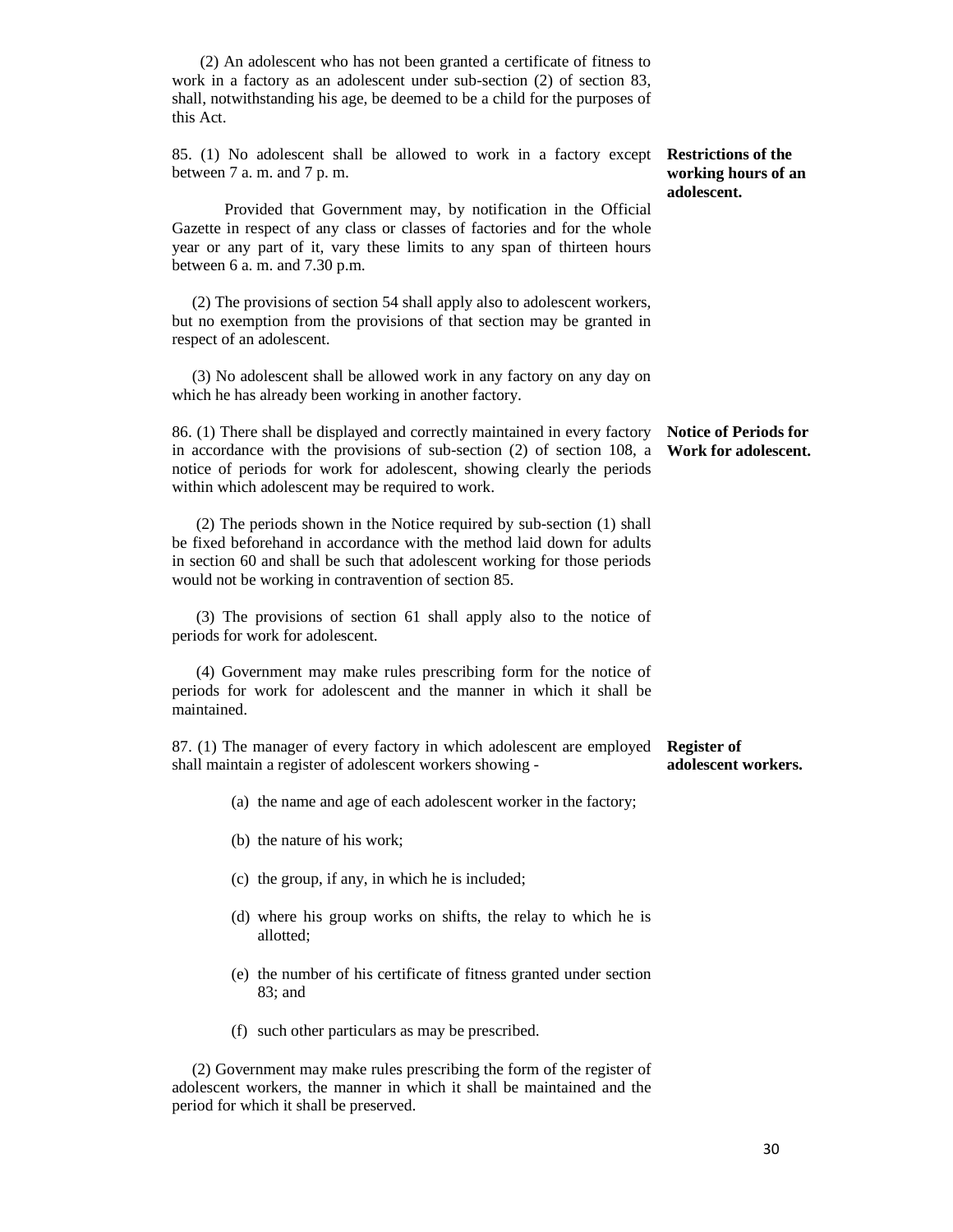(2) An adolescent who has not been granted a certificate of fitness to work in a factory as an adolescent under sub-section (2) of section 83, shall, notwithstanding his age, be deemed to be a child for the purposes of this Act.

85. (1) No adolescent shall be allowed to work in a factory except between 7 a. m. and 7 p. m.

 Provided that Government may, by notification in the Official Gazette in respect of any class or classes of factories and for the whole year or any part of it, vary these limits to any span of thirteen hours between 6 a. m. and 7.30 p.m.

 (2) The provisions of section 54 shall apply also to adolescent workers, but no exemption from the provisions of that section may be granted in respect of an adolescent.

 (3) No adolescent shall be allowed work in any factory on any day on which he has already been working in another factory.

86. (1) There shall be displayed and correctly maintained in every factory in accordance with the provisions of sub-section (2) of section 108, a notice of periods for work for adolescent, showing clearly the periods within which adolescent may be required to work. **Notice of Periods for Work for adolescent.** 

 (2) The periods shown in the Notice required by sub-section (1) shall be fixed beforehand in accordance with the method laid down for adults in section 60 and shall be such that adolescent working for those periods would not be working in contravention of section 85.

 (3) The provisions of section 61 shall apply also to the notice of periods for work for adolescent.

 (4) Government may make rules prescribing form for the notice of periods for work for adolescent and the manner in which it shall be maintained.

87. (1) The manager of every factory in which adolescent are employed **Register of**  shall maintain a register of adolescent workers showing **adolescent workers.** 

- (a) the name and age of each adolescent worker in the factory;
- (b) the nature of his work;
- (c) the group, if any, in which he is included;
- (d) where his group works on shifts, the relay to which he is allotted;
- (e) the number of his certificate of fitness granted under section 83; and
- (f) such other particulars as may be prescribed.

 (2) Government may make rules prescribing the form of the register of adolescent workers, the manner in which it shall be maintained and the period for which it shall be preserved.

30

**Restrictions of the working hours of an** 

**adolescent.**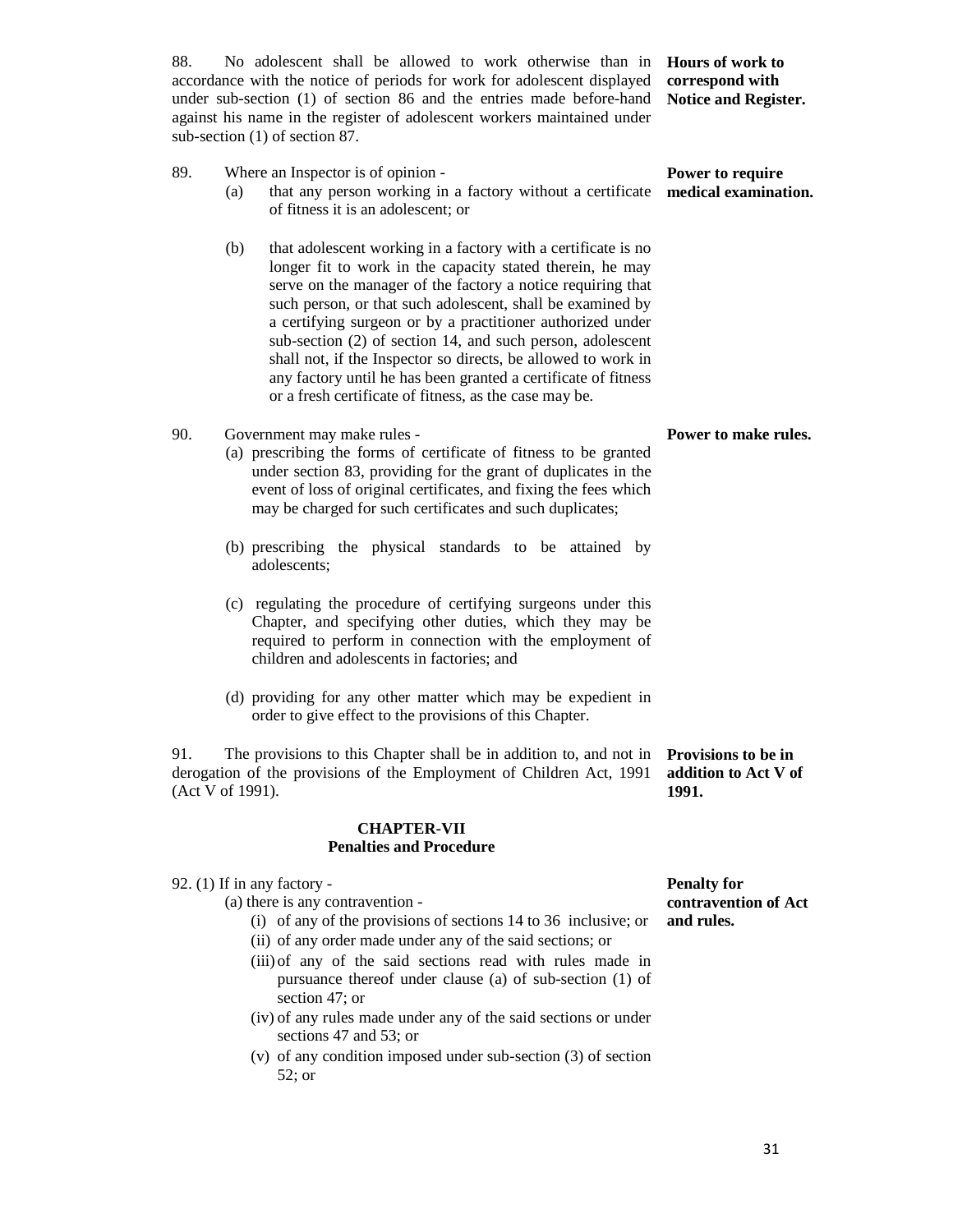88. No adolescent shall be allowed to work otherwise than in **Hours of work to**  accordance with the notice of periods for work for adolescent displayed **correspond with**  under sub-section (1) of section 86 and the entries made before-hand **Notice and Register.**  against his name in the register of adolescent workers maintained under sub-section (1) of section 87.

**Power to require** 

- 89. Where an Inspector is of opinion (a) that any person working in a factory without a certificate **medical examination.**  of fitness it is an adolescent; or
	- (b) that adolescent working in a factory with a certificate is no longer fit to work in the capacity stated therein, he may serve on the manager of the factory a notice requiring that such person, or that such adolescent, shall be examined by a certifying surgeon or by a practitioner authorized under sub-section (2) of section 14, and such person, adolescent shall not, if the Inspector so directs, be allowed to work in any factory until he has been granted a certificate of fitness or a fresh certificate of fitness, as the case may be.
- 90. Government may make rules
	- (a) prescribing the forms of certificate of fitness to be granted under section 83, providing for the grant of duplicates in the event of loss of original certificates, and fixing the fees which may be charged for such certificates and such duplicates;
	- (b) prescribing the physical standards to be attained by adolescents;
	- (c) regulating the procedure of certifying surgeons under this Chapter, and specifying other duties, which they may be required to perform in connection with the employment of children and adolescents in factories; and
	- (d) providing for any other matter which may be expedient in order to give effect to the provisions of this Chapter.

91. The provisions to this Chapter shall be in addition to, and not in **Provisions to be in**  derogation of the provisions of the Employment of Children Act, 1991 (Act V of 1991). **addition to Act V of 1991.** 

#### **CHAPTER-VII Penalties and Procedure**

#### 92. (1) If in any factory -

(a) there is any contravention -

- (i) of any of the provisions of sections 14 to 36 inclusive; or
- (ii) of any order made under any of the said sections; or
- (iii) of any of the said sections read with rules made in pursuance thereof under clause (a) of sub-section (1) of section 47; or
- (iv) of any rules made under any of the said sections or under sections 47 and 53; or
- (v) of any condition imposed under sub-section (3) of section 52; or

**Penalty for contravention of Act and rules.** 

**Power to make rules.**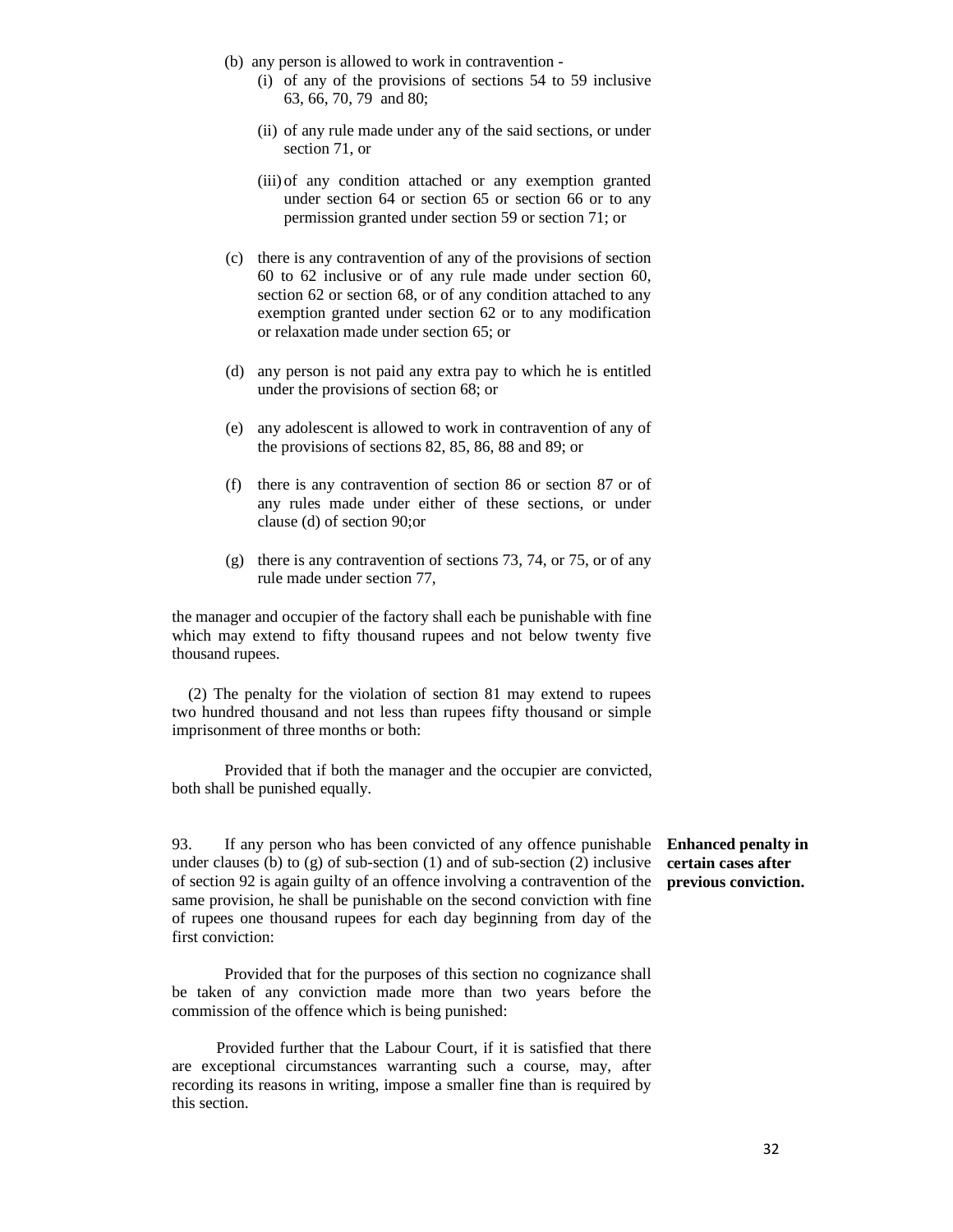- (b) any person is allowed to work in contravention
	- (i) of any of the provisions of sections 54 to 59 inclusive 63, 66, 70, 79 and 80;
	- (ii) of any rule made under any of the said sections, or under section 71, or
	- (iii) of any condition attached or any exemption granted under section 64 or section 65 or section 66 or to any permission granted under section 59 or section 71; or
- (c) there is any contravention of any of the provisions of section 60 to 62 inclusive or of any rule made under section 60, section 62 or section 68, or of any condition attached to any exemption granted under section 62 or to any modification or relaxation made under section 65; or
- (d) any person is not paid any extra pay to which he is entitled under the provisions of section 68; or
- (e) any adolescent is allowed to work in contravention of any of the provisions of sections 82, 85, 86, 88 and 89; or
- (f) there is any contravention of section 86 or section 87 or of any rules made under either of these sections, or under clause (d) of section 90;or
- (g) there is any contravention of sections 73, 74, or 75, or of any rule made under section 77,

the manager and occupier of the factory shall each be punishable with fine which may extend to fifty thousand rupees and not below twenty five thousand rupees.

 (2) The penalty for the violation of section 81 may extend to rupees two hundred thousand and not less than rupees fifty thousand or simple imprisonment of three months or both:

Provided that if both the manager and the occupier are convicted, both shall be punished equally.

93. If any person who has been convicted of any offence punishable under clauses (b) to  $(g)$  of sub-section  $(1)$  and of sub-section  $(2)$  inclusive of section 92 is again guilty of an offence involving a contravention of the same provision, he shall be punishable on the second conviction with fine of rupees one thousand rupees for each day beginning from day of the first conviction:

 Provided that for the purposes of this section no cognizance shall be taken of any conviction made more than two years before the commission of the offence which is being punished:

 Provided further that the Labour Court, if it is satisfied that there are exceptional circumstances warranting such a course, may, after recording its reasons in writing, impose a smaller fine than is required by this section.

**Enhanced penalty in certain cases after previous conviction.**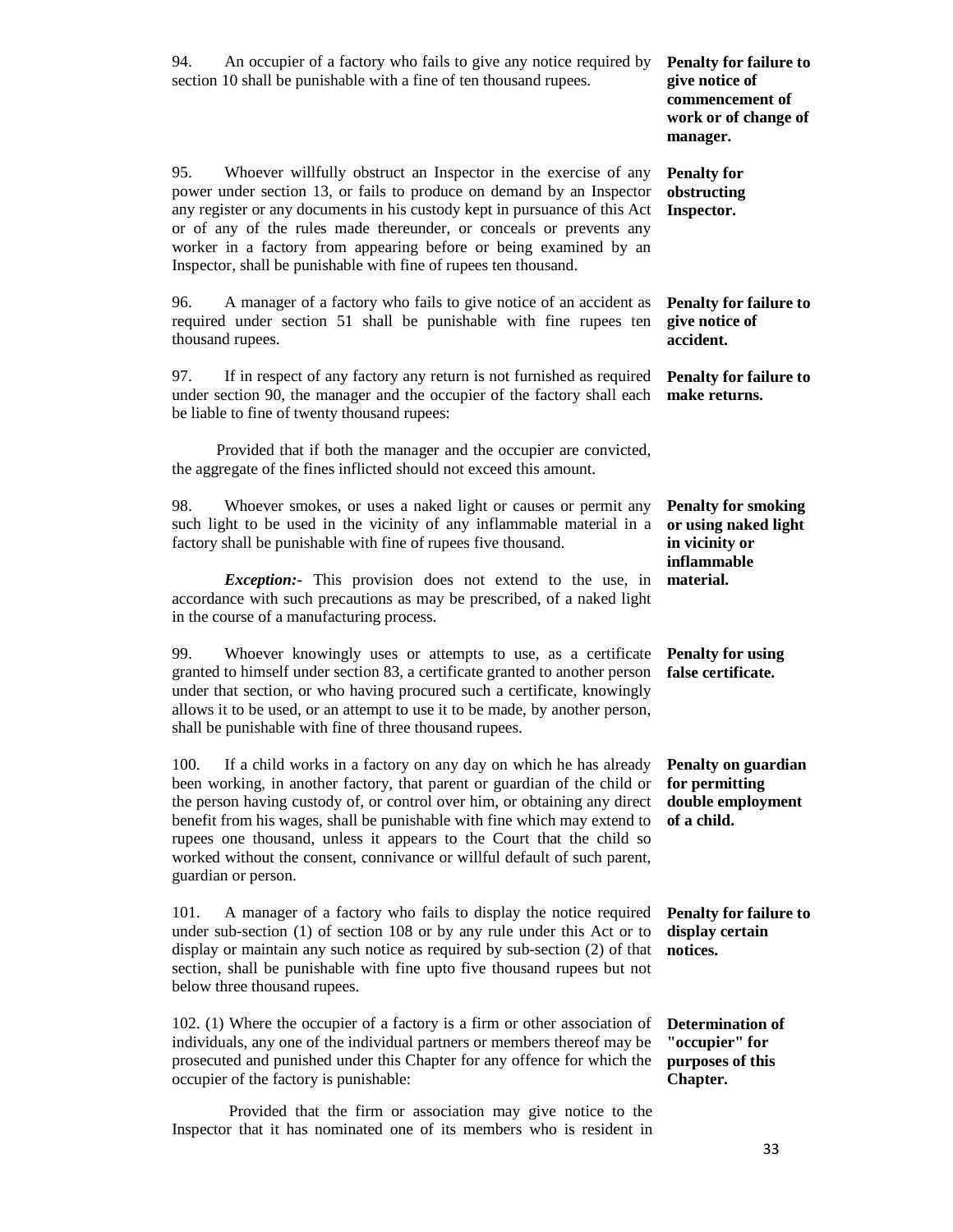| An occupier of a factory who fails to give any notice required by<br>94.<br>section 10 shall be punishable with a fine of ten thousand rupees.                                                                                                                                                                                                                                                                                                                                                | <b>Penalty for failure to</b><br>give notice of<br>commencement of<br>work or of change of<br>manager. |
|-----------------------------------------------------------------------------------------------------------------------------------------------------------------------------------------------------------------------------------------------------------------------------------------------------------------------------------------------------------------------------------------------------------------------------------------------------------------------------------------------|--------------------------------------------------------------------------------------------------------|
| 95.<br>Whoever willfully obstruct an Inspector in the exercise of any<br>power under section 13, or fails to produce on demand by an Inspector<br>any register or any documents in his custody kept in pursuance of this Act<br>or of any of the rules made thereunder, or conceals or prevents any<br>worker in a factory from appearing before or being examined by an<br>Inspector, shall be punishable with fine of rupees ten thousand.                                                  | <b>Penalty for</b><br>obstructing<br>Inspector.                                                        |
| A manager of a factory who fails to give notice of an accident as<br>96.<br>required under section 51 shall be punishable with fine rupees ten<br>thousand rupees.                                                                                                                                                                                                                                                                                                                            | <b>Penalty for failure to</b><br>give notice of<br>accident.                                           |
| If in respect of any factory any return is not furnished as required<br>97.<br>under section 90, the manager and the occupier of the factory shall each<br>be liable to fine of twenty thousand rupees:                                                                                                                                                                                                                                                                                       | <b>Penalty for failure to</b><br>make returns.                                                         |
| Provided that if both the manager and the occupier are convicted,<br>the aggregate of the fines inflicted should not exceed this amount.                                                                                                                                                                                                                                                                                                                                                      |                                                                                                        |
| 98.<br>Whoever smokes, or uses a naked light or causes or permit any<br>such light to be used in the vicinity of any inflammable material in a<br>factory shall be punishable with fine of rupees five thousand.                                                                                                                                                                                                                                                                              | <b>Penalty for smoking</b><br>or using naked light<br>in vicinity or<br>inflammable                    |
| <i>Exception</i> :- This provision does not extend to the use, in<br>accordance with such precautions as may be prescribed, of a naked light<br>in the course of a manufacturing process.                                                                                                                                                                                                                                                                                                     | material.                                                                                              |
| 99.<br>Whoever knowingly uses or attempts to use, as a certificate<br>granted to himself under section 83, a certificate granted to another person<br>under that section, or who having procured such a certificate, knowingly<br>allows it to be used, or an attempt to use it to be made, by another person,<br>shall be punishable with fine of three thousand rupees.                                                                                                                     | <b>Penalty for using</b><br>false certificate.                                                         |
| If a child works in a factory on any day on which he has already<br>100.<br>been working, in another factory, that parent or guardian of the child or<br>the person having custody of, or control over him, or obtaining any direct<br>benefit from his wages, shall be punishable with fine which may extend to<br>rupees one thousand, unless it appears to the Court that the child so<br>worked without the consent, connivance or willful default of such parent,<br>guardian or person. | Penalty on guardian<br>for permitting<br>double employment<br>of a child.                              |
| A manager of a factory who fails to display the notice required<br>101.<br>under sub-section (1) of section 108 or by any rule under this Act or to<br>display or maintain any such notice as required by sub-section (2) of that<br>section, shall be punishable with fine upto five thousand rupees but not<br>below three thousand rupees.                                                                                                                                                 | <b>Penalty for failure to</b><br>display certain<br>notices.                                           |
| 102. (1) Where the occupier of a factory is a firm or other association of<br>individuals, any one of the individual partners or members thereof may be<br>prosecuted and punished under this Chapter for any offence for which the<br>occupier of the factory is punishable:                                                                                                                                                                                                                 | <b>Determination of</b><br>"occupier" for<br>purposes of this<br>Chapter.                              |
| Provided that the firm or association may give notice to the<br>Inspector that it has nominated one of its members who is resident in                                                                                                                                                                                                                                                                                                                                                         |                                                                                                        |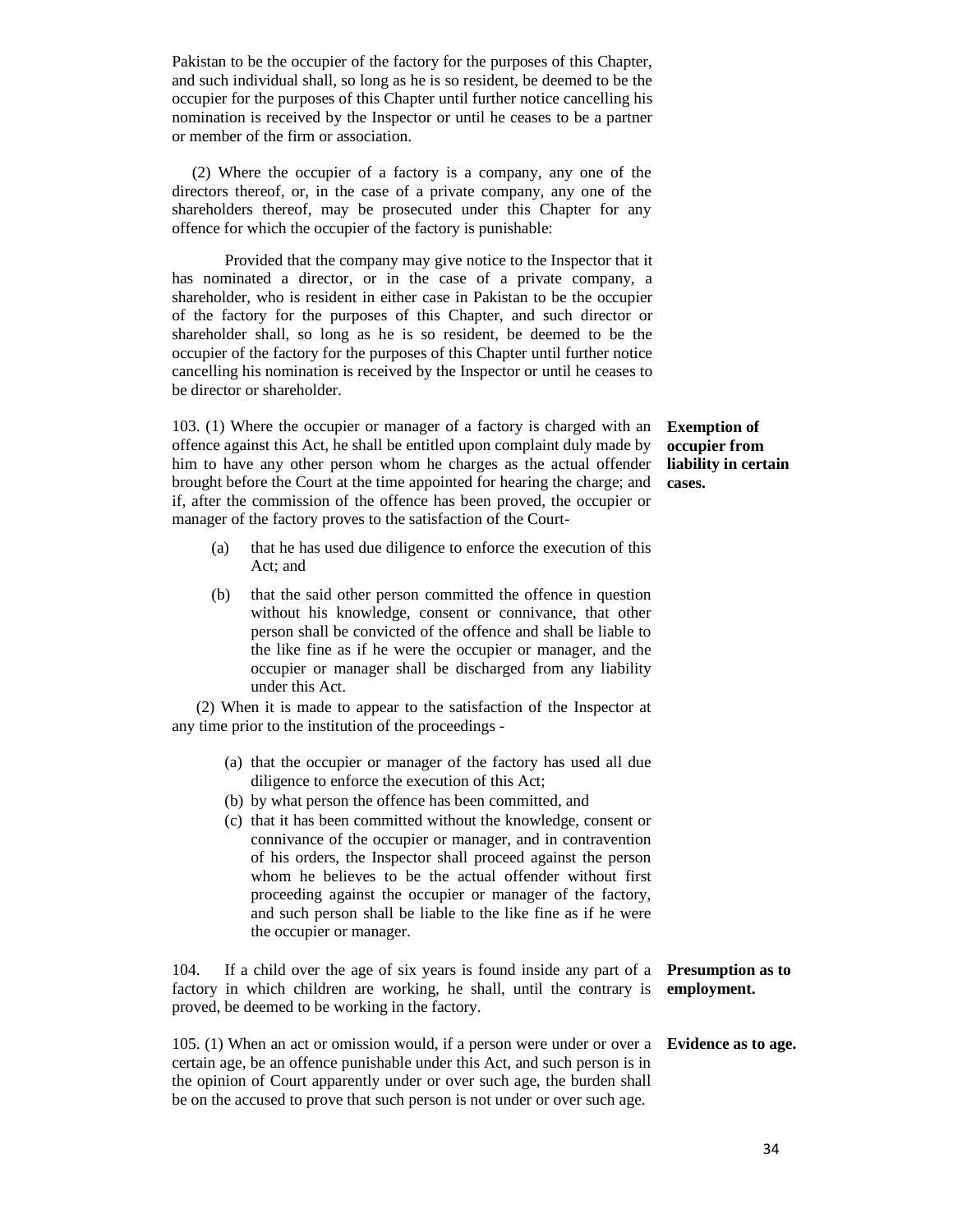Pakistan to be the occupier of the factory for the purposes of this Chapter, and such individual shall, so long as he is so resident, be deemed to be the occupier for the purposes of this Chapter until further notice cancelling his nomination is received by the Inspector or until he ceases to be a partner or member of the firm or association.

 (2) Where the occupier of a factory is a company, any one of the directors thereof, or, in the case of a private company, any one of the shareholders thereof, may be prosecuted under this Chapter for any offence for which the occupier of the factory is punishable:

 Provided that the company may give notice to the Inspector that it has nominated a director, or in the case of a private company, a shareholder, who is resident in either case in Pakistan to be the occupier of the factory for the purposes of this Chapter, and such director or shareholder shall, so long as he is so resident, be deemed to be the occupier of the factory for the purposes of this Chapter until further notice cancelling his nomination is received by the Inspector or until he ceases to be director or shareholder.

103. (1) Where the occupier or manager of a factory is charged with an offence against this Act, he shall be entitled upon complaint duly made by him to have any other person whom he charges as the actual offender brought before the Court at the time appointed for hearing the charge; and if, after the commission of the offence has been proved, the occupier or manager of the factory proves to the satisfaction of the Court-

- (a) that he has used due diligence to enforce the execution of this Act; and
- (b) that the said other person committed the offence in question without his knowledge, consent or connivance, that other person shall be convicted of the offence and shall be liable to the like fine as if he were the occupier or manager, and the occupier or manager shall be discharged from any liability under this Act.

 (2) When it is made to appear to the satisfaction of the Inspector at any time prior to the institution of the proceedings -

- (a) that the occupier or manager of the factory has used all due diligence to enforce the execution of this Act;
- (b) by what person the offence has been committed, and
- (c) that it has been committed without the knowledge, consent or connivance of the occupier or manager, and in contravention of his orders, the Inspector shall proceed against the person whom he believes to be the actual offender without first proceeding against the occupier or manager of the factory, and such person shall be liable to the like fine as if he were the occupier or manager.

104. If a child over the age of six years is found inside any part of a **Presumption as to**  factory in which children are working, he shall, until the contrary is **employment.**  proved, be deemed to be working in the factory.

| 105. (1) When an act or omission would, if a person were under or over a <b>Evidence as to age.</b> |  |
|-----------------------------------------------------------------------------------------------------|--|
| certain age, be an offence punishable under this Act, and such person is in                         |  |
| the opinion of Court apparently under or over such age, the burden shall                            |  |
| be on the accused to prove that such person is not under or over such age.                          |  |

**Exemption of occupier from liability in certain cases.**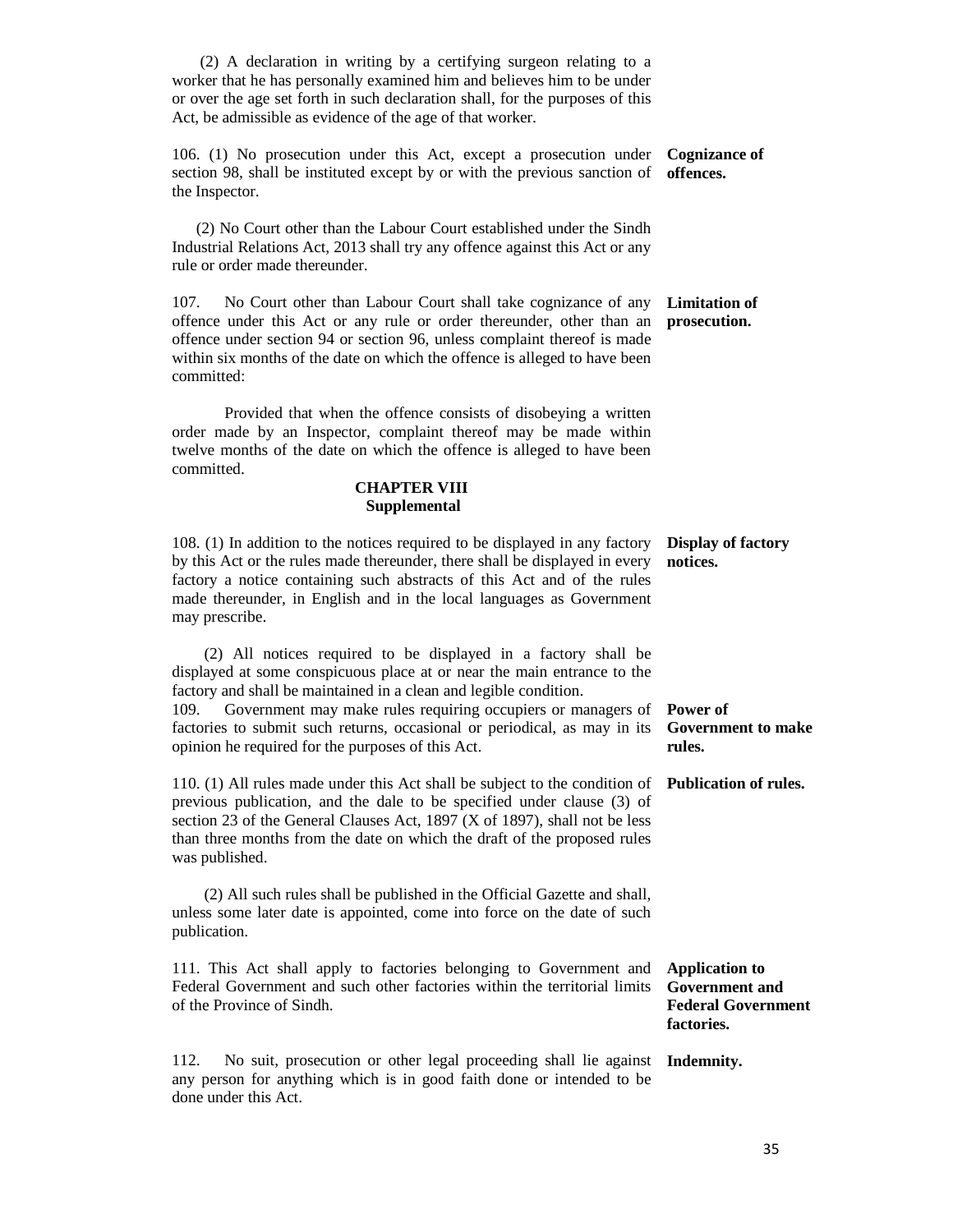(2) A declaration in writing by a certifying surgeon relating to a worker that he has personally examined him and believes him to be under or over the age set forth in such declaration shall, for the purposes of this Act, be admissible as evidence of the age of that worker.

106. (1) No prosecution under this Act, except a prosecution under **Cognizance of**  section 98, shall be instituted except by or with the previous sanction of **offences.**  the Inspector.

 (2) No Court other than the Labour Court established under the Sindh Industrial Relations Act, 2013 shall try any offence against this Act or any rule or order made thereunder.

107. No Court other than Labour Court shall take cognizance of any **Limitation of**  offence under this Act or any rule or order thereunder, other than an offence under section 94 or section 96, unless complaint thereof is made within six months of the date on which the offence is alleged to have been committed: **prosecution.** 

 Provided that when the offence consists of disobeying a written order made by an Inspector, complaint thereof may be made within twelve months of the date on which the offence is alleged to have been committed.

#### **CHAPTER VIII Supplemental**

| 108. (1) In addition to the notices required to be displayed in any factory <b>Display of factory</b><br>by this Act or the rules made thereunder, there shall be displayed in every<br>factory a notice containing such abstracts of this Act and of the rules<br>made thereunder, in English and in the local languages as Government<br>may prescribe.                                                                                         | notices. |
|---------------------------------------------------------------------------------------------------------------------------------------------------------------------------------------------------------------------------------------------------------------------------------------------------------------------------------------------------------------------------------------------------------------------------------------------------|----------|
| (2) All notices required to be displayed in a factory shall be<br>displayed at some conspicuous place at or near the main entrance to the<br>factory and shall be maintained in a clean and legible condition.<br>109. Government may make rules requiring occupiers or managers of Power of<br>factories to submit such returns, occasional or periodical, as may in its Government to make<br>opinion he required for the purposes of this Act. | rules.   |
| 110. (1) All rules made under this Act shall be subject to the condition of <b>Publication of rules.</b><br>previous publication, and the dale to be specified under clause (3) of<br>section 23 of the General Clauses Act, 1897 (X of 1897), shall not be less<br>than three months from the date on which the draft of the proposed rules<br>was published.                                                                                    |          |
| (2) All such rules shall be published in the Official Gazette and shall,<br>unless some later date is appointed, come into force on the date of such<br>publication.                                                                                                                                                                                                                                                                              |          |

111. This Act shall apply to factories belonging to Government and Federal Government and such other factories within the territorial limits of the Province of Sindh. **Application to Government and Federal Government** 

112. No suit, prosecution or other legal proceeding shall lie against **Indemnity.** any person for anything which is in good faith done or intended to be done under this Act.

#### 35

**factories.**